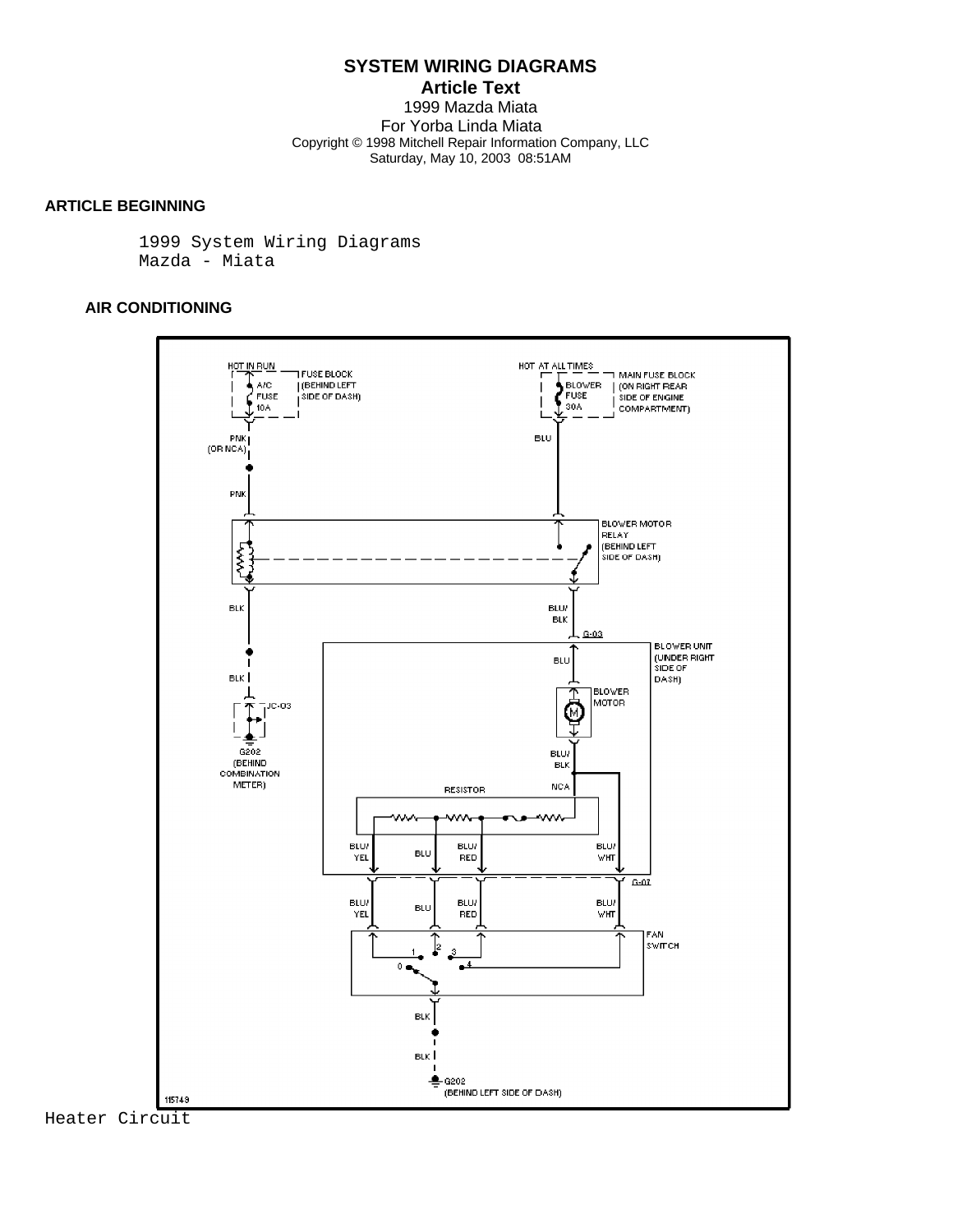**Article Text** 1999 Mazda Miata For Yorba Linda Miata Copyright © 1998 Mitchell Repair Information Company, LLC Saturday, May 10, 2003 08:51AM

## **ARTICLE BEGINNING**

 1999 System Wiring Diagrams Mazda - Miata

## **AIR CONDITIONING**



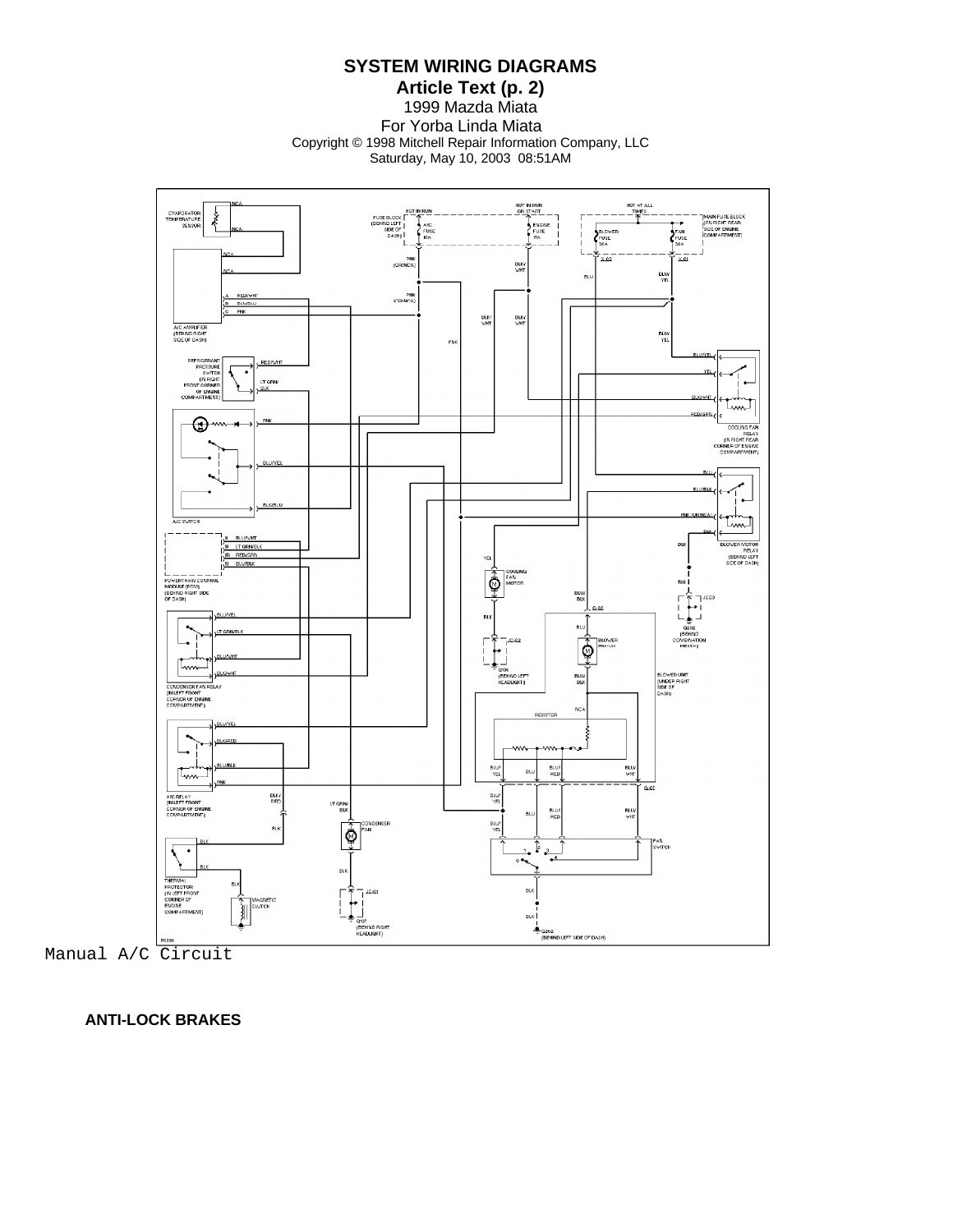**Article Text (p. 2)** 1999 Mazda Miata For Yorba Linda Miata Copyright © 1998 Mitchell Repair Information Company, LLC Saturday, May 10, 2003 08:51AM



Manual A/C Circuit

 **ANTI-LOCK BRAKES**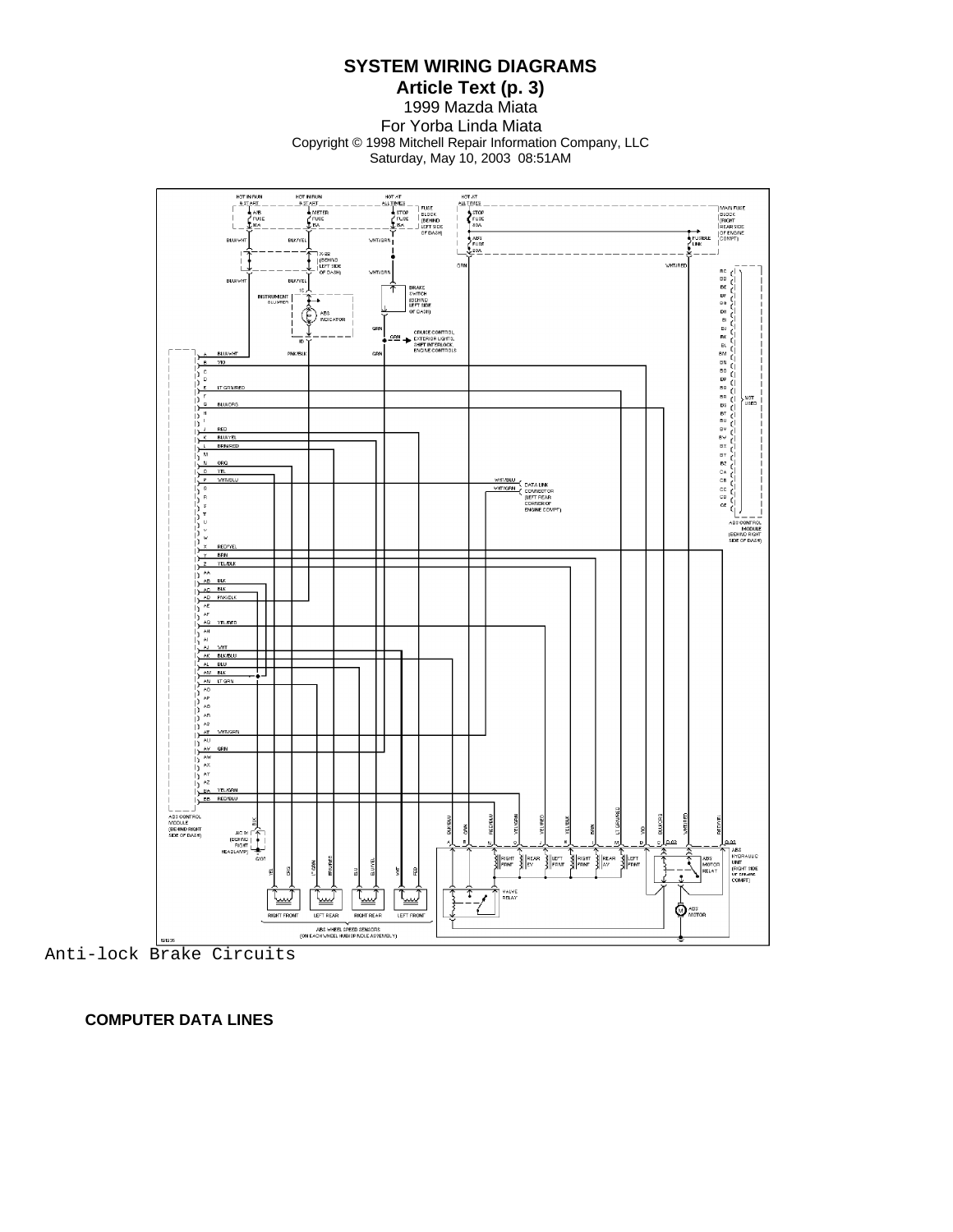**Article Text (p. 3)** 1999 Mazda Miata For Yorba Linda Miata Copyright © 1998 Mitchell Repair Information Company, LLC Saturday, May 10, 2003 08:51AM



 **COMPUTER DATA LINES**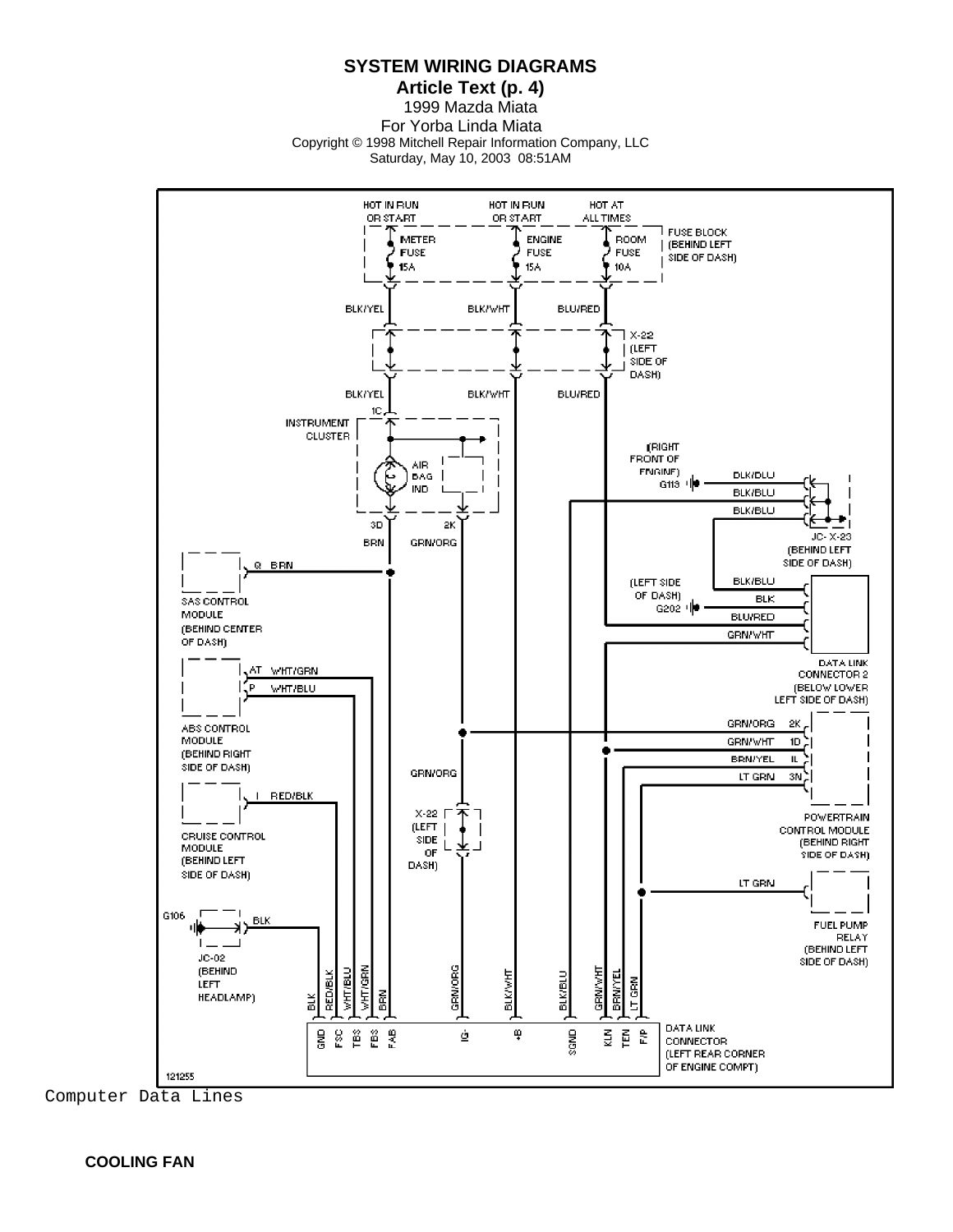**Article Text (p. 4)** 1999 Mazda Miata For Yorba Linda Miata Copyright © 1998 Mitchell Repair Information Company, LLC Saturday, May 10, 2003 08:51AM



Computer Data Lines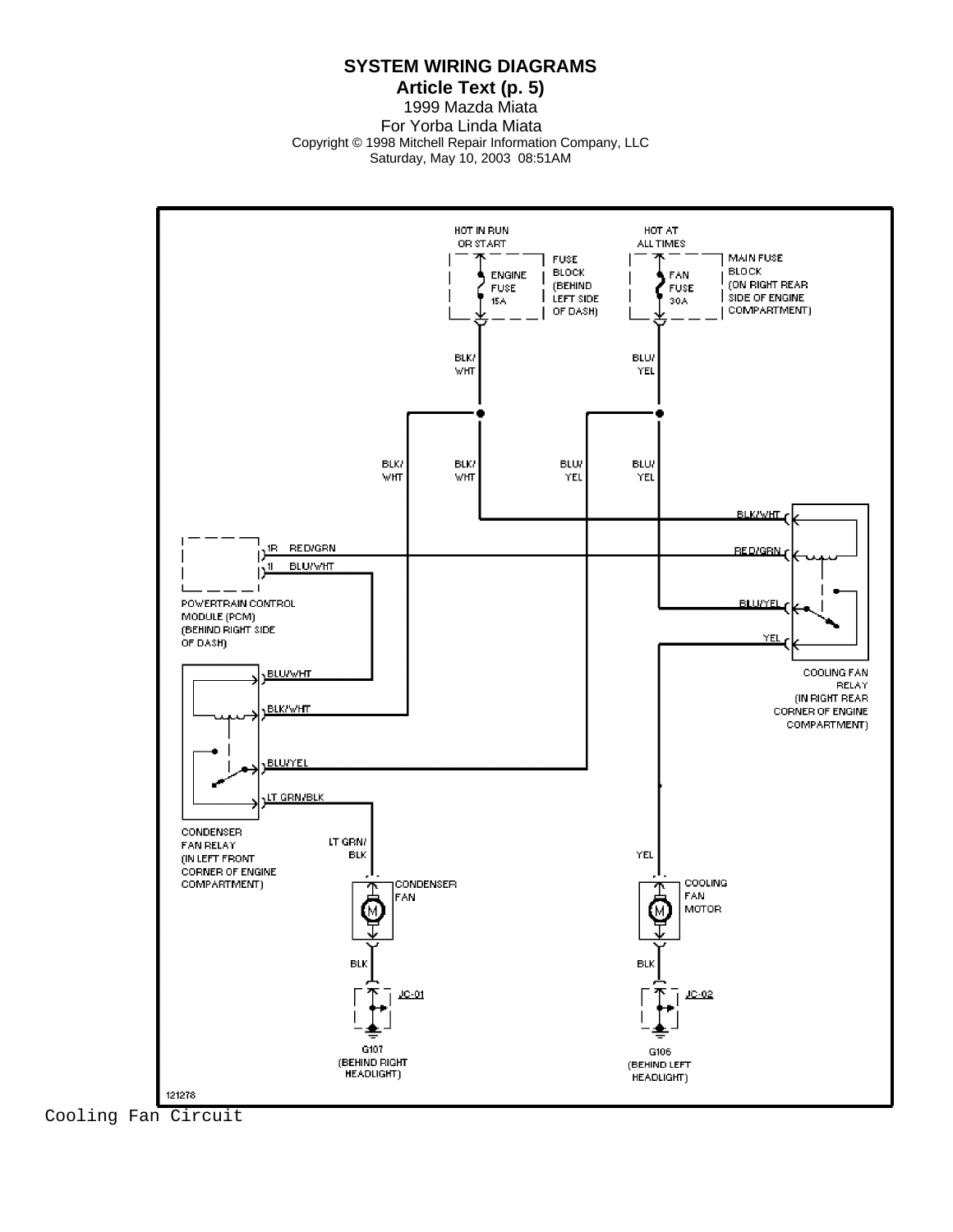**Article Text (p. 5)** 1999 Mazda Miata For Yorba Linda Miata Copyright © 1998 Mitchell Repair Information Company, LLC Saturday, May 10, 2003 08:51AM



Cooling Fan Circuit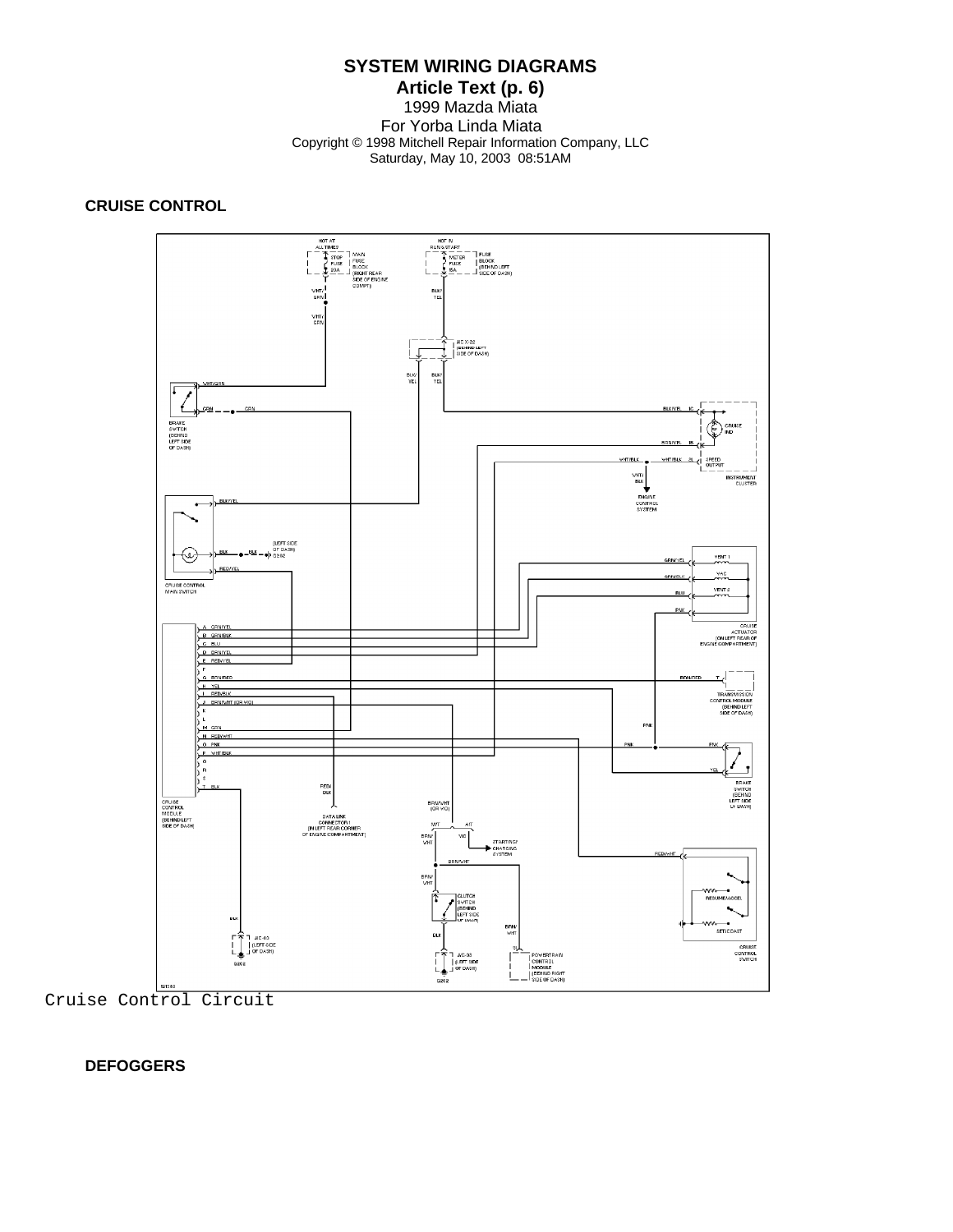#### **Article Text (p. 6)** 1999 Mazda Miata For Yorba Linda Miata Copyright © 1998 Mitchell Repair Information Company, LLC Saturday, May 10, 2003 08:51AM

## **CRUISE CONTROL**



Cruise Control Circuit

#### **DEFOGGERS**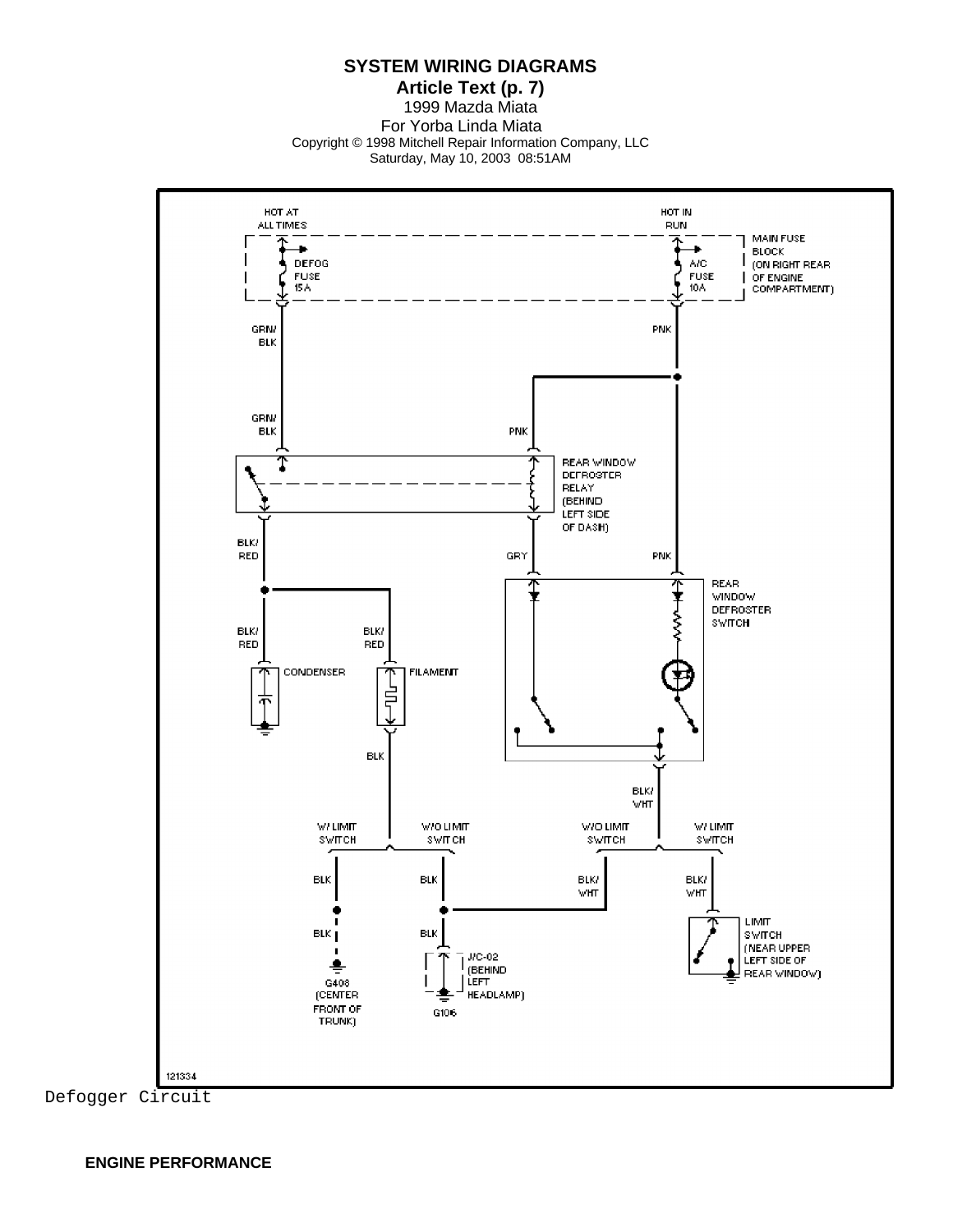**SYSTEM WIRING DIAGRAMS**

**Article Text (p. 7)** 1999 Mazda Miata For Yorba Linda Miata Copyright © 1998 Mitchell Repair Information Company, LLC Saturday, May 10, 2003 08:51AM

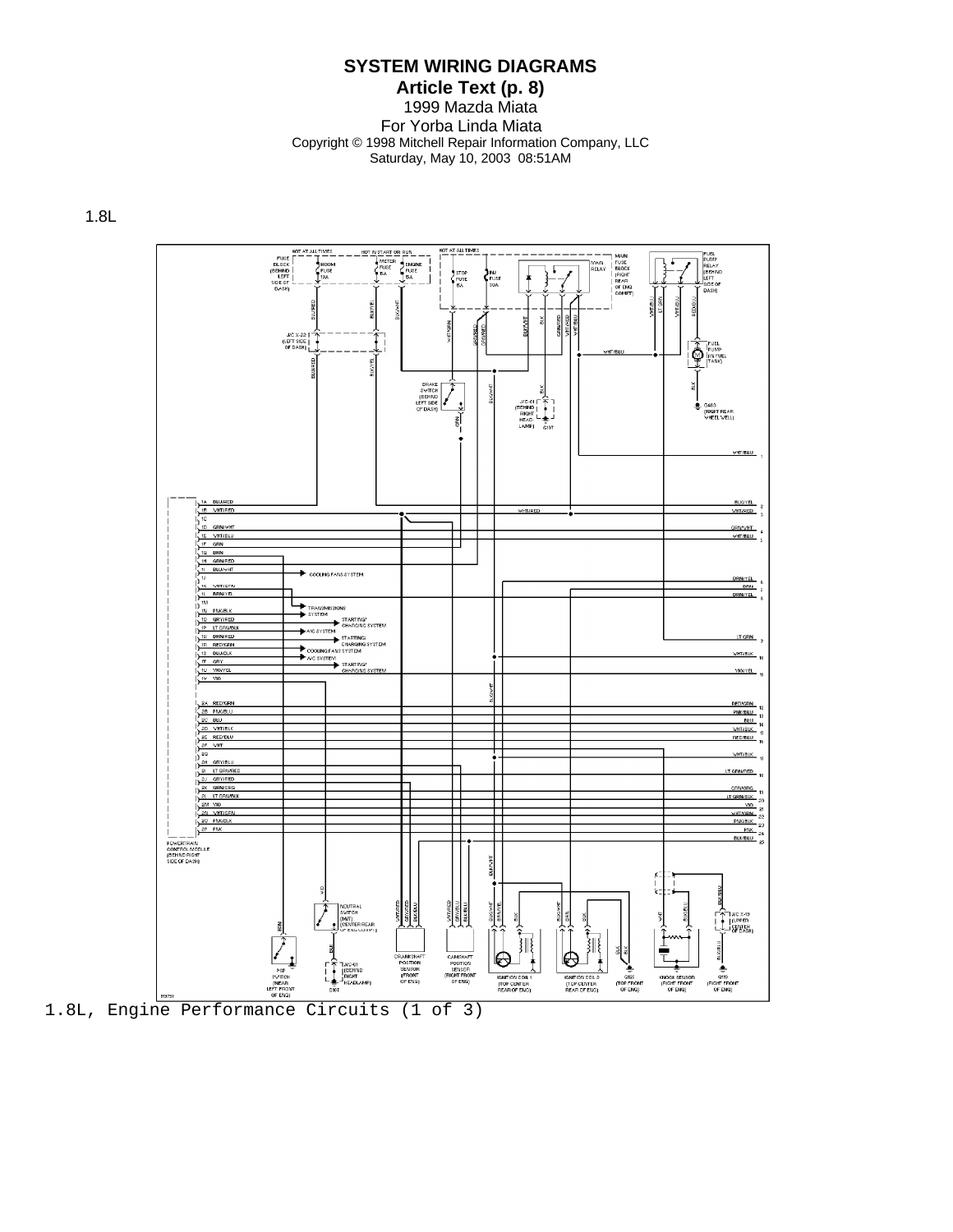# **Article Text (p. 8)**

1999 Mazda Miata For Yorba Linda Miata Copyright © 1998 Mitchell Repair Information Company, LLC Saturday, May 10, 2003 08:51AM

1.8L



1.8L, Engine Performance Circuits (1 of 3)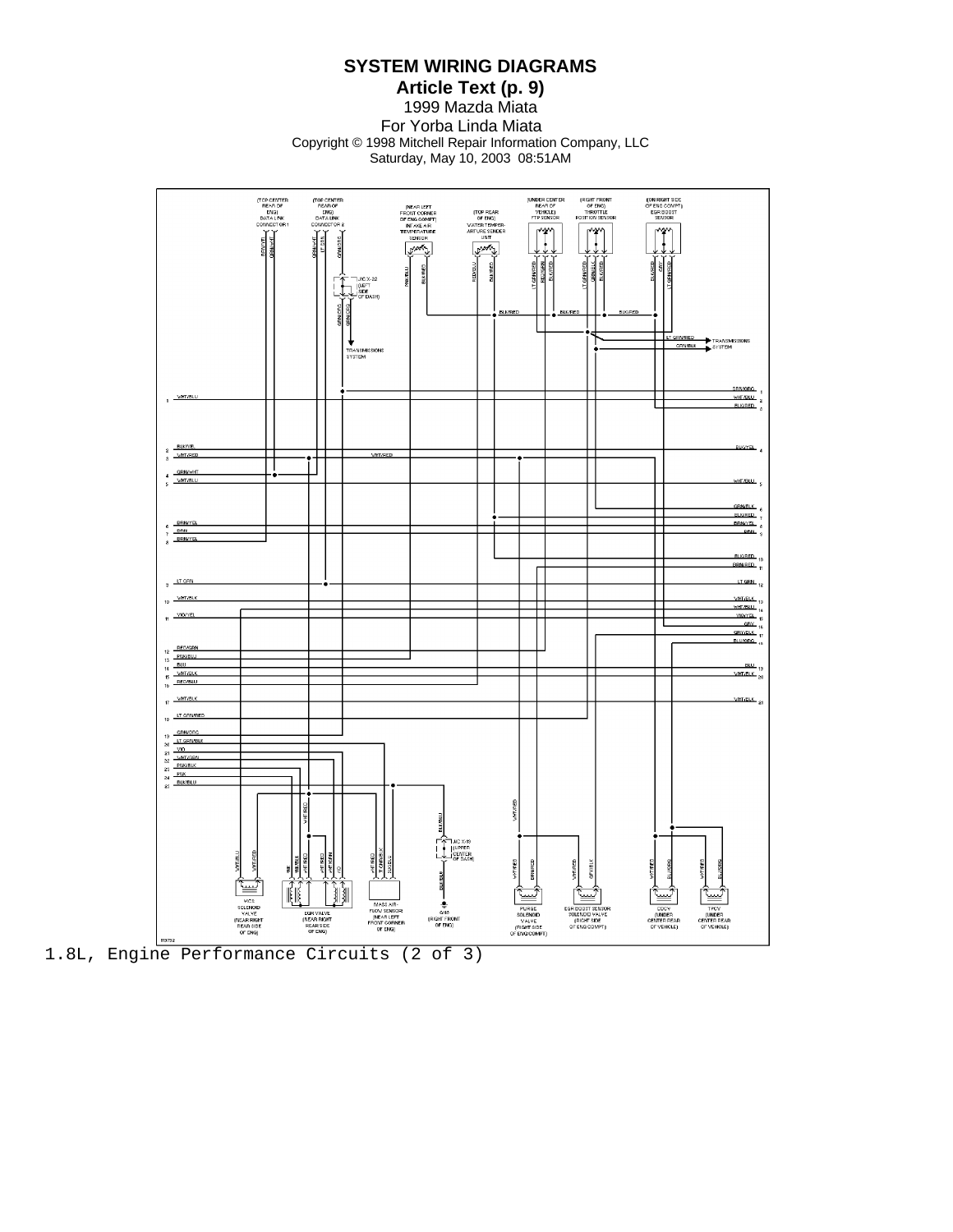**Article Text (p. 9)** 1999 Mazda Miata For Yorba Linda Miata Copyright © 1998 Mitchell Repair Information Company, LLC Saturday, May 10, 2003 08:51AM

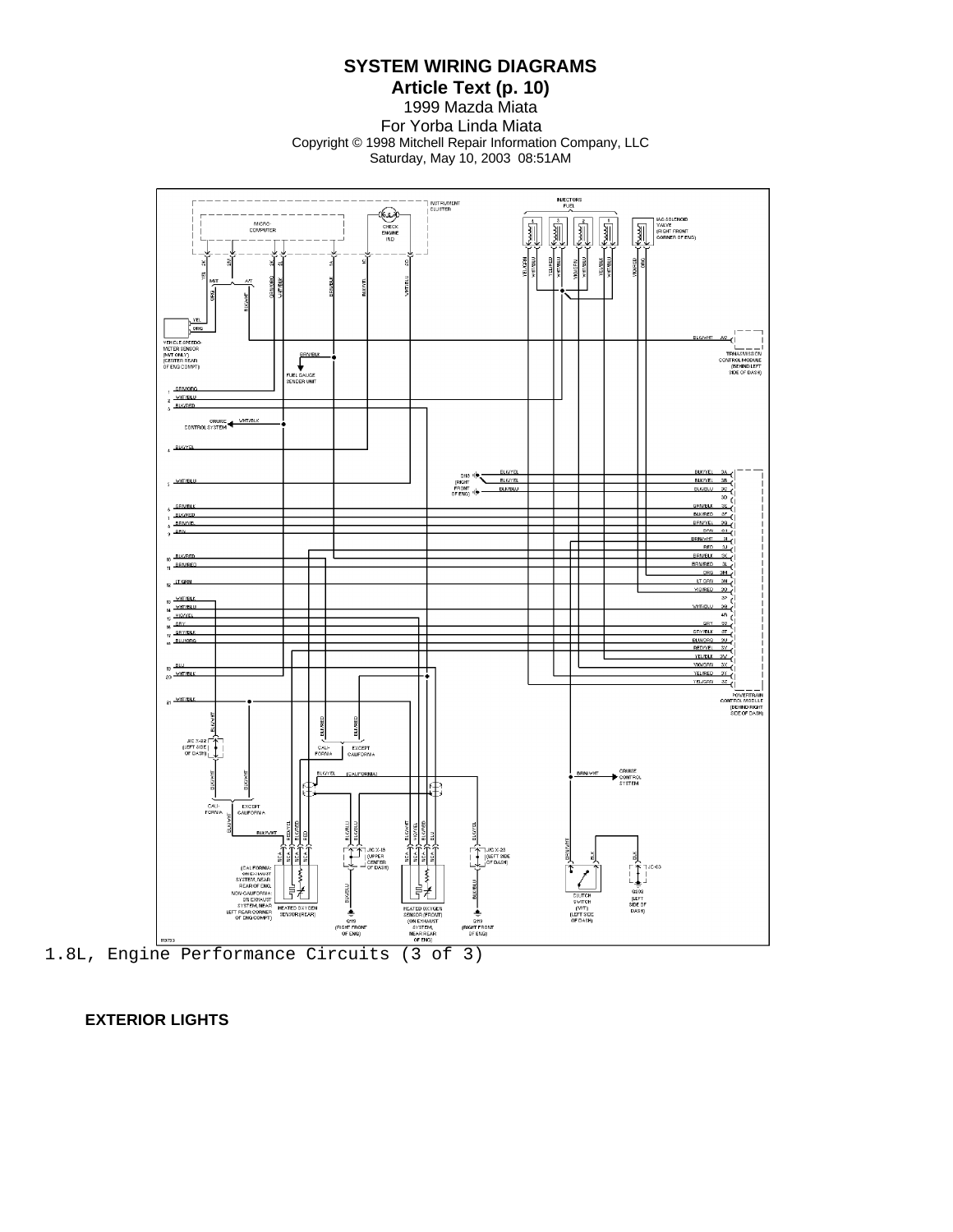**Article Text (p. 10)** 1999 Mazda Miata For Yorba Linda Miata Copyright © 1998 Mitchell Repair Information Company, LLC Saturday, May 10, 2003 08:51AM



 **EXTERIOR LIGHTS**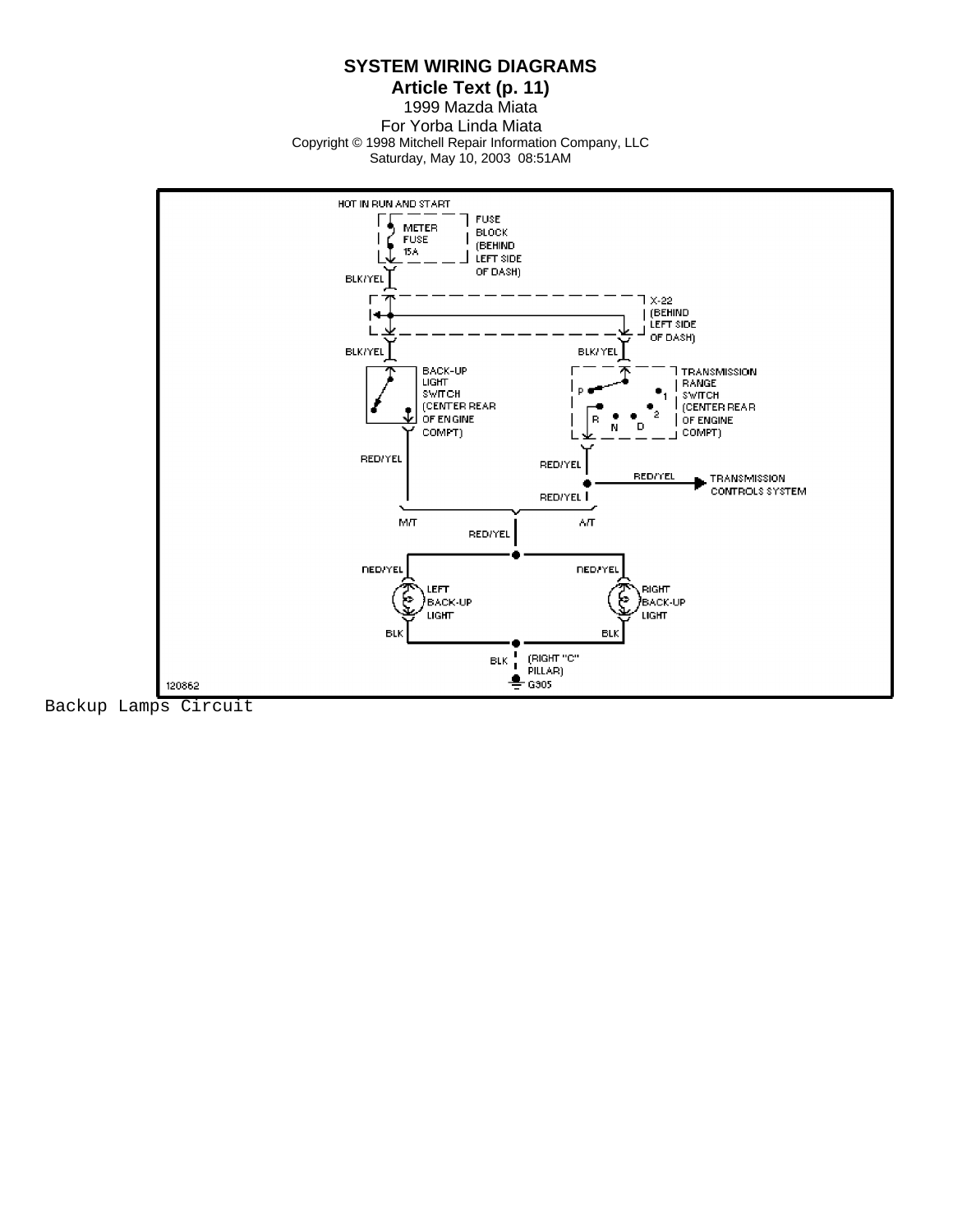**Article Text (p. 11)** 1999 Mazda Miata For Yorba Linda Miata Copyright © 1998 Mitchell Repair Information Company, LLC Saturday, May 10, 2003 08:51AM



Backup Lamps Circuit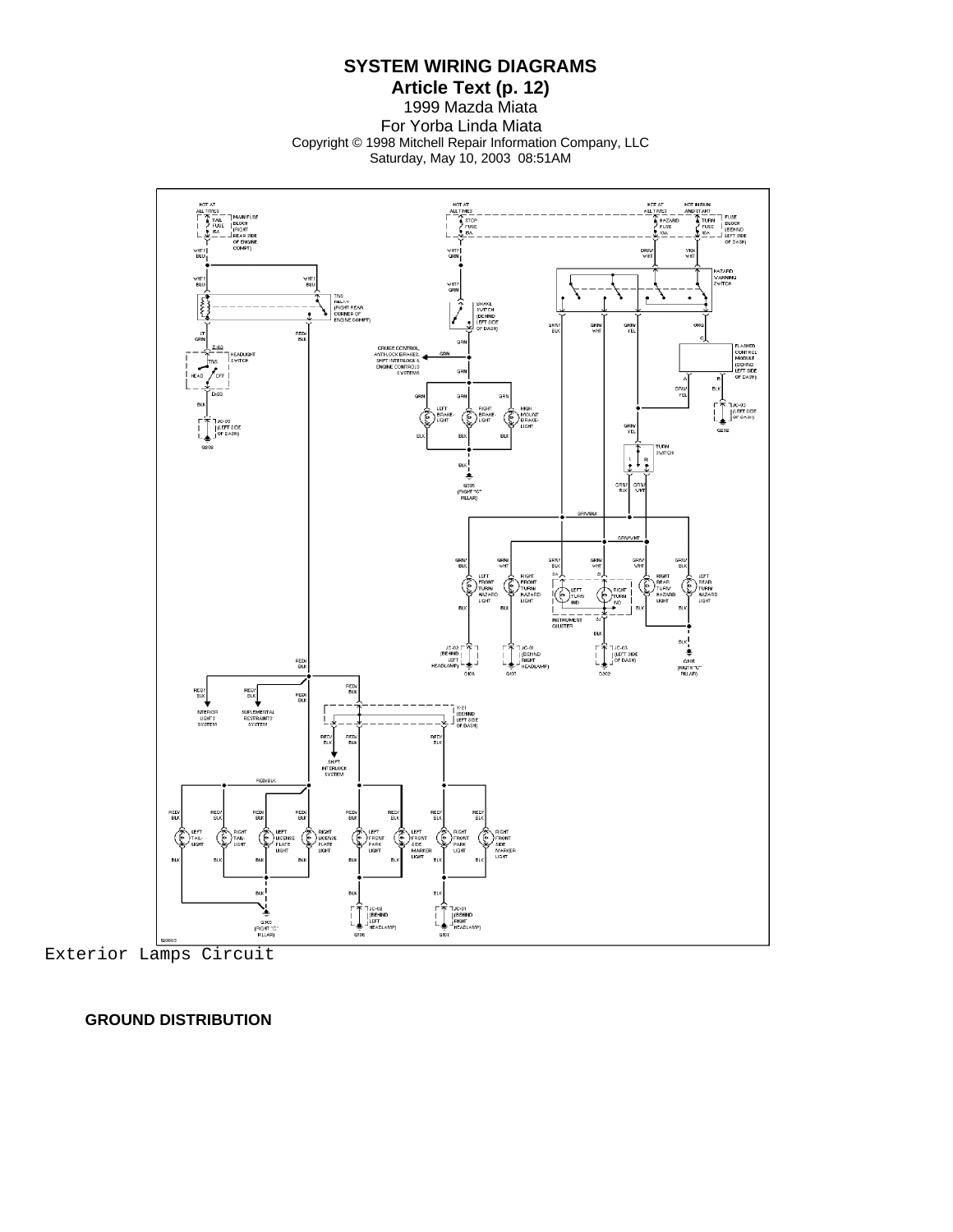**SYSTEM WIRING DIAGRAMS**

**Article Text (p. 12)** 1999 Mazda Miata For Yorba Linda Miata Copyright © 1998 Mitchell Repair Information Company, LLC Saturday, May 10, 2003 08:51AM



Exterior Lamps Circuit

 **GROUND DISTRIBUTION**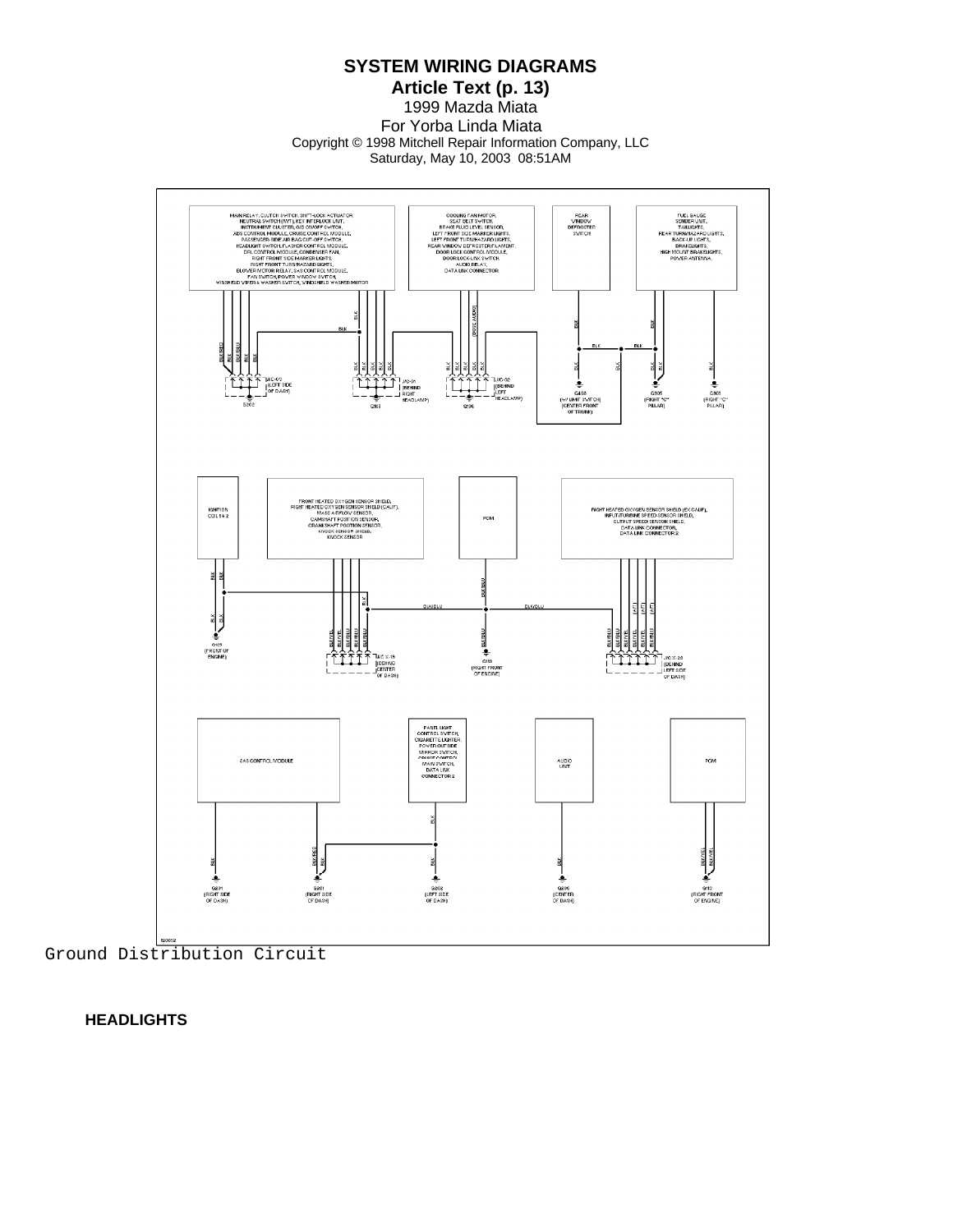**SYSTEM WIRING DIAGRAMS**

**Article Text (p. 13)** 1999 Mazda Miata For Yorba Linda Miata Copyright © 1998 Mitchell Repair Information Company, LLC Saturday, May 10, 2003 08:51AM



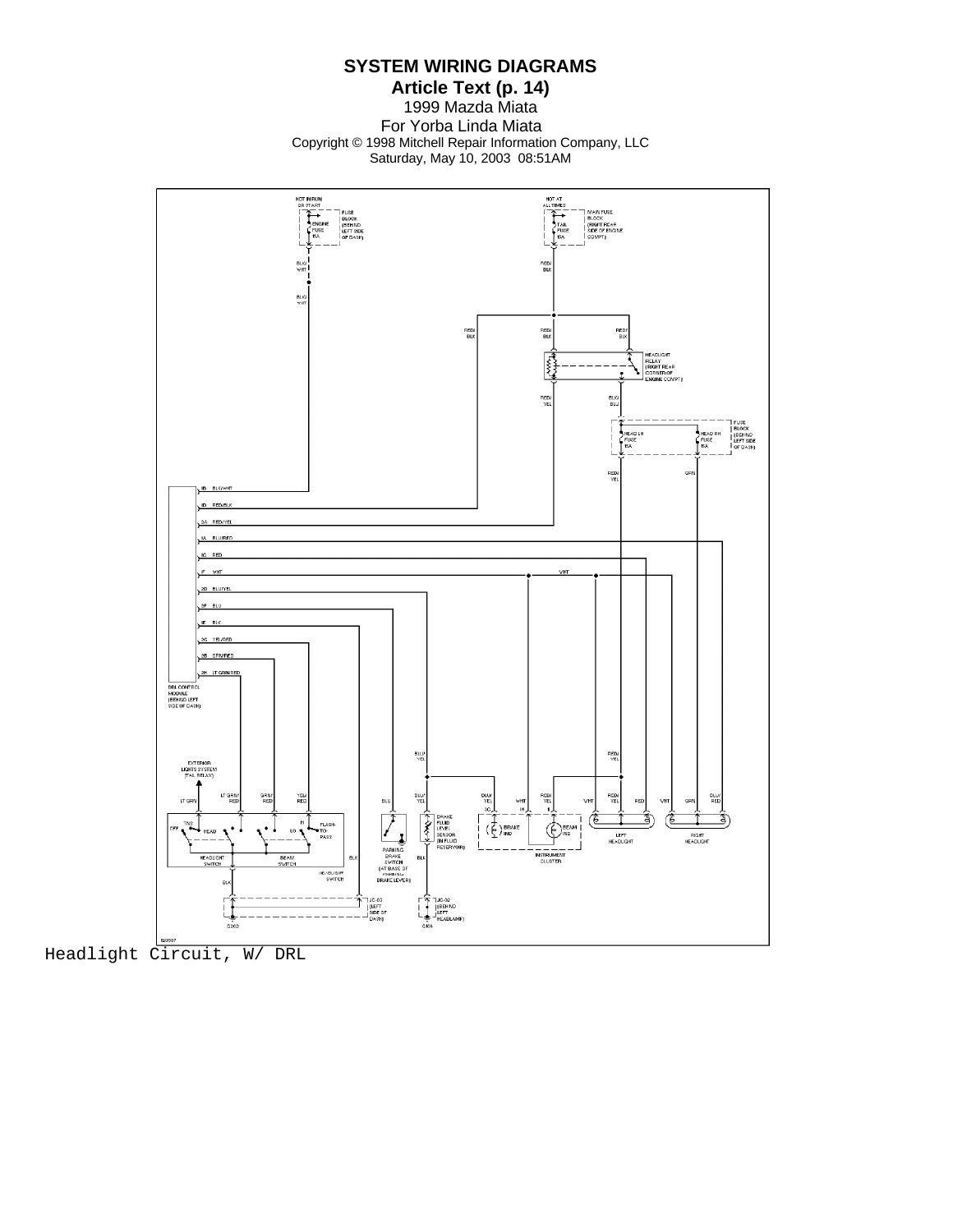**Article Text (p. 14)** 1999 Mazda Miata For Yorba Linda Miata Copyright © 1998 Mitchell Repair Information Company, LLC Saturday, May 10, 2003 08:51AM

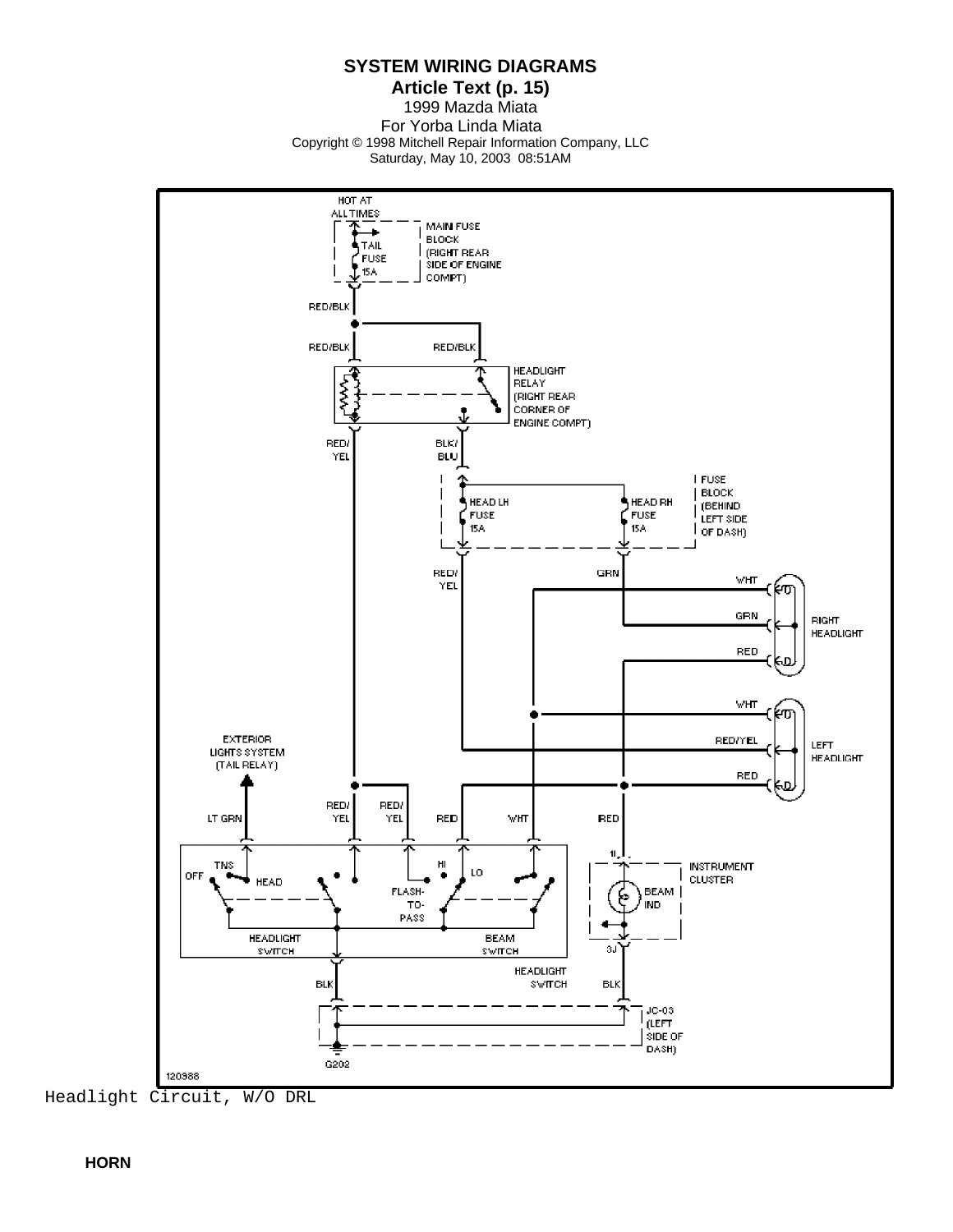**Article Text (p. 15)** 1999 Mazda Miata For Yorba Linda Miata Copyright © 1998 Mitchell Repair Information Company, LLC Saturday, May 10, 2003 08:51AM

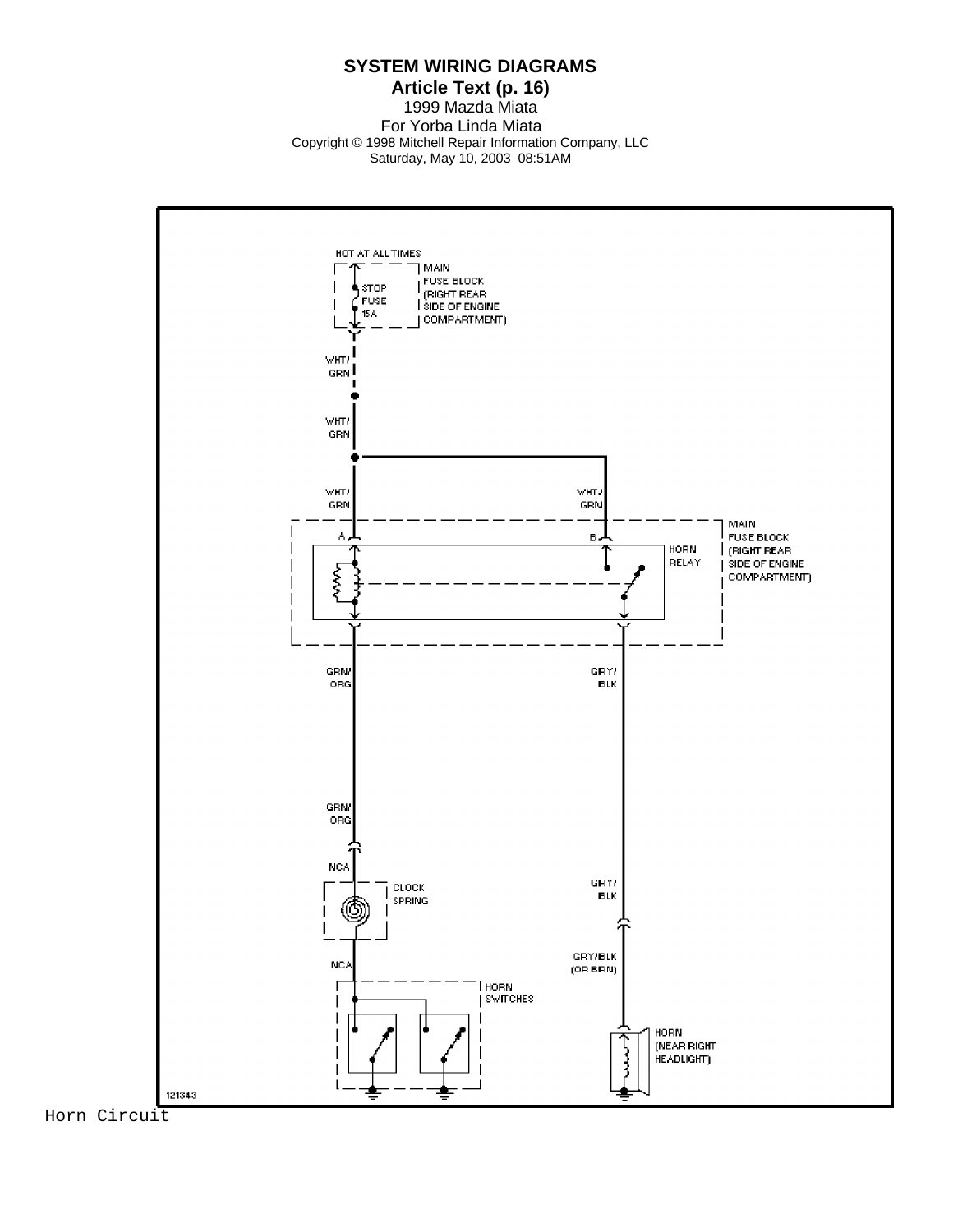#### **Article Text (p. 16)** 1999 Mazda Miata For Yorba Linda Miata Copyright © 1998 Mitchell Repair Information Company, LLC Saturday, May 10, 2003 08:51AM

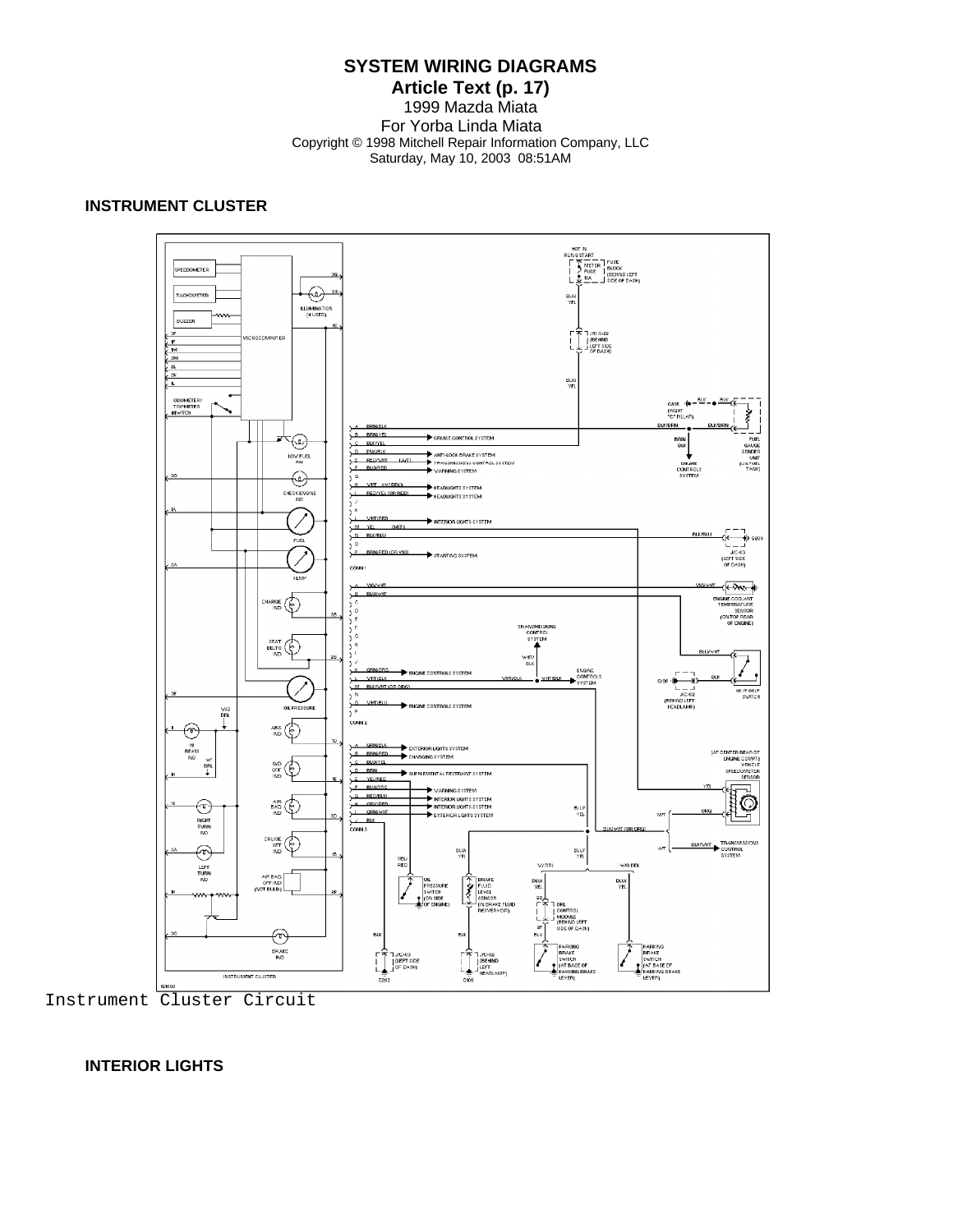#### **Article Text (p. 17)** 1999 Mazda Miata For Yorba Linda Miata Copyright © 1998 Mitchell Repair Information Company, LLC Saturday, May 10, 2003 08:51AM

## **INSTRUMENT CLUSTER**



Instrument Cluster Circuit

#### **INTERIOR LIGHTS**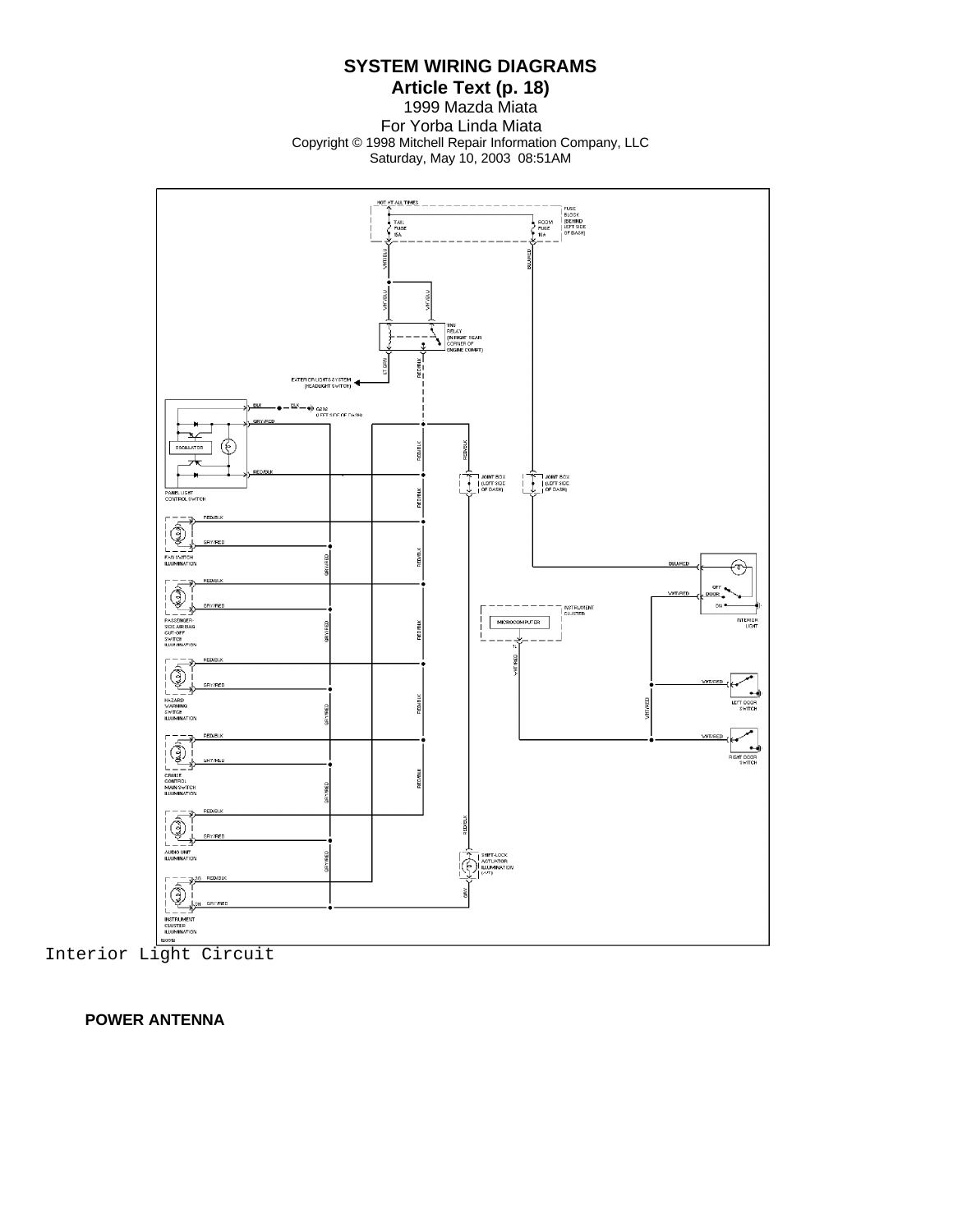**Article Text (p. 18)** 1999 Mazda Miata For Yorba Linda Miata Copyright © 1998 Mitchell Repair Information Company, LLC Saturday, May 10, 2003 08:51AM



Interior Light Circuit

 **POWER ANTENNA**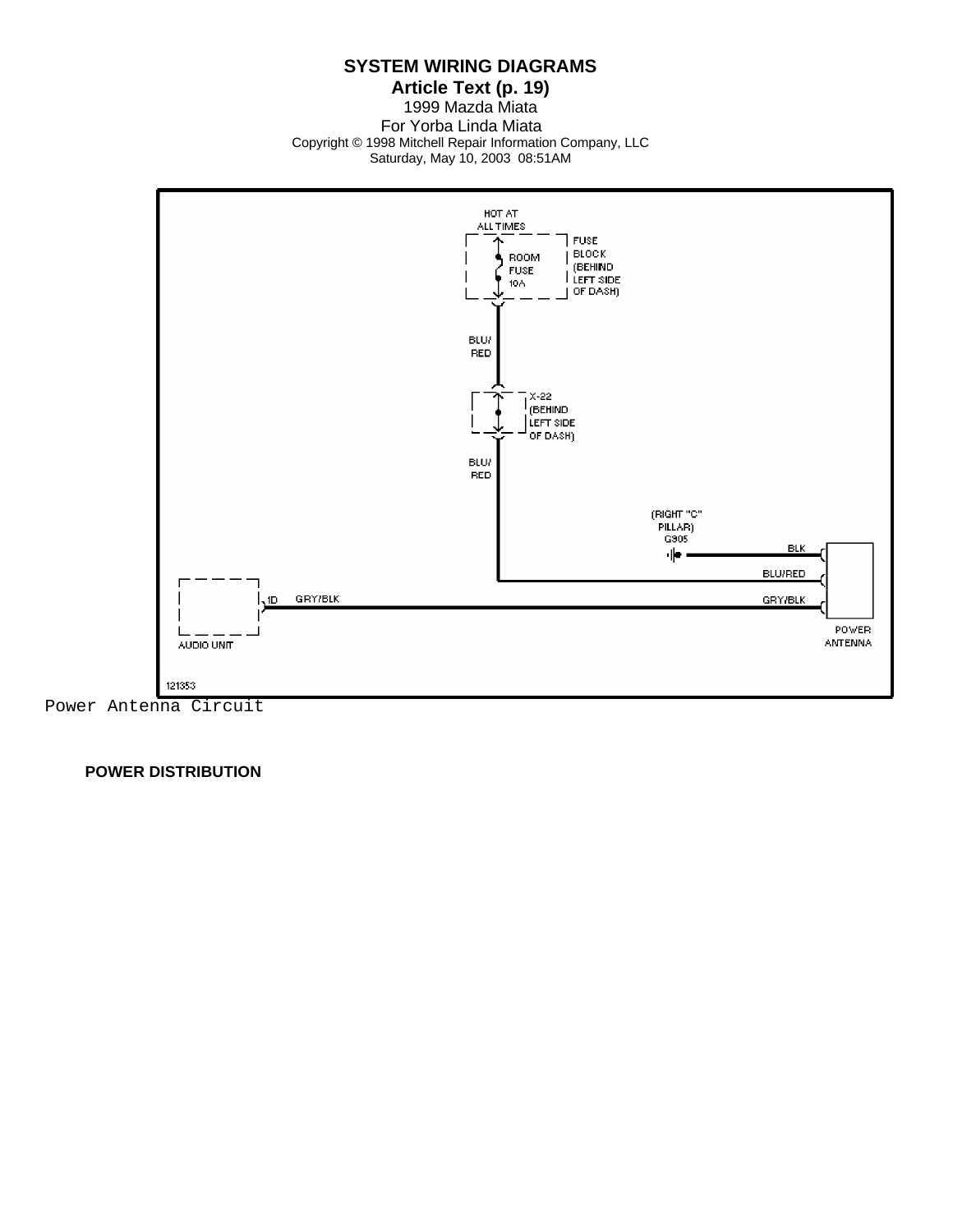**Article Text (p. 19)** 1999 Mazda Miata For Yorba Linda Miata Copyright © 1998 Mitchell Repair Information Company, LLC Saturday, May 10, 2003 08:51AM



Power Antenna Circuit

 **POWER DISTRIBUTION**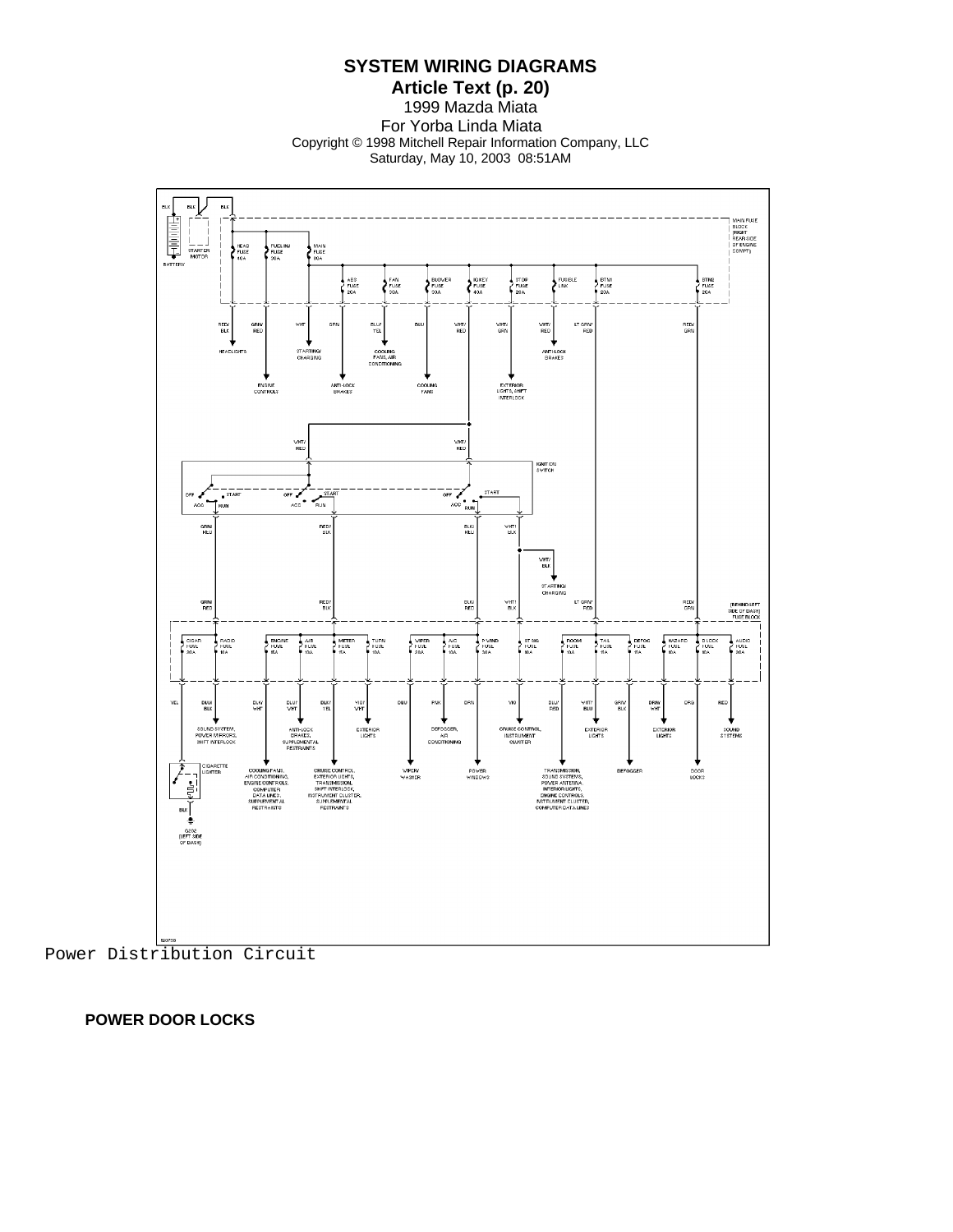**SYSTEM WIRING DIAGRAMS**

**Article Text (p. 20)** 1999 Mazda Miata For Yorba Linda Miata Copyright © 1998 Mitchell Repair Information Company, LLC Saturday, May 10, 2003 08:51AM



 **POWER DOOR LOCKS**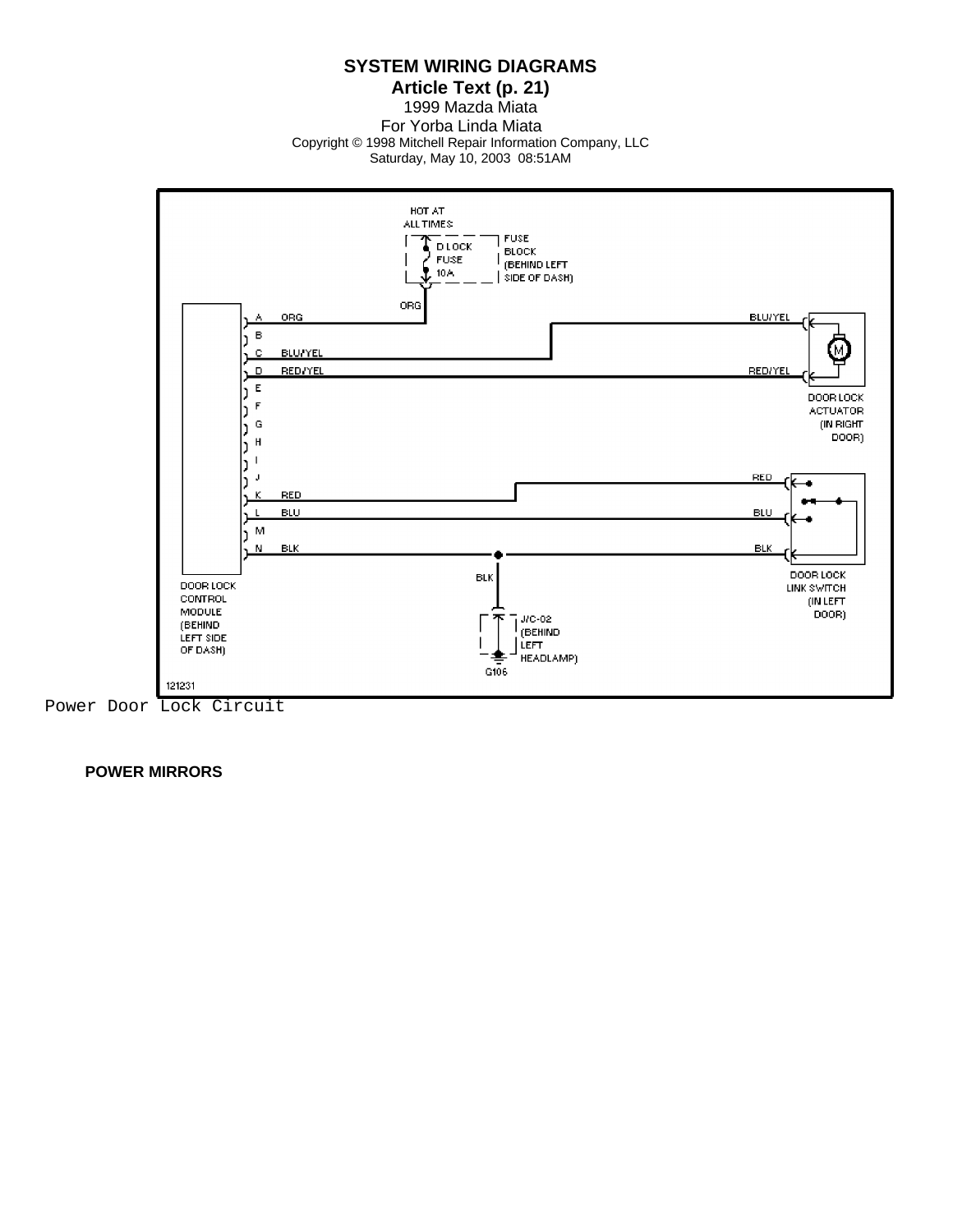**Article Text (p. 21)** 1999 Mazda Miata For Yorba Linda Miata Copyright © 1998 Mitchell Repair Information Company, LLC

Saturday, May 10, 2003 08:51AM



 **POWER MIRRORS**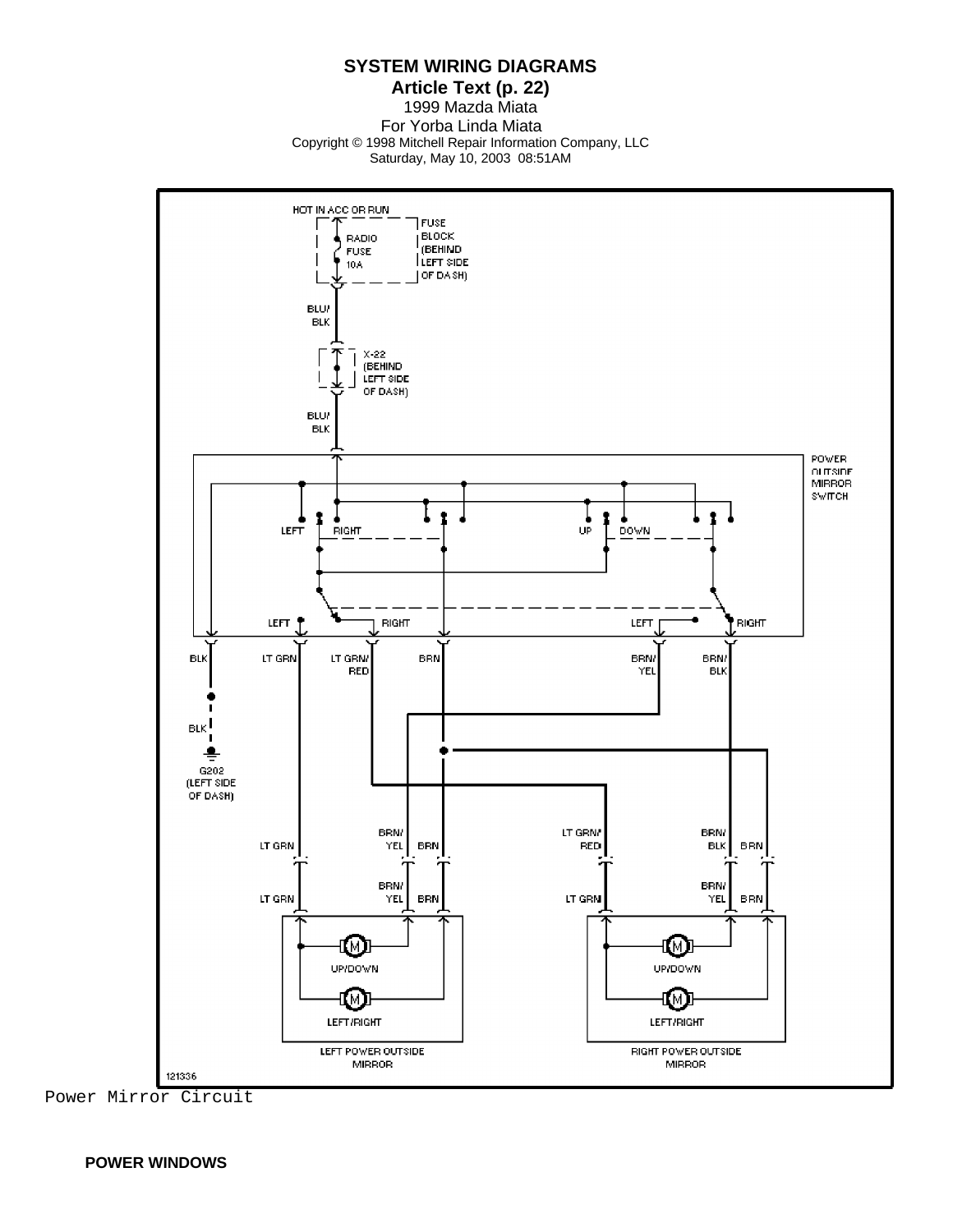**Article Text (p. 22)** 1999 Mazda Miata For Yorba Linda Miata Copyright © 1998 Mitchell Repair Information Company, LLC Saturday, May 10, 2003 08:51AM



Power Mirror Circuit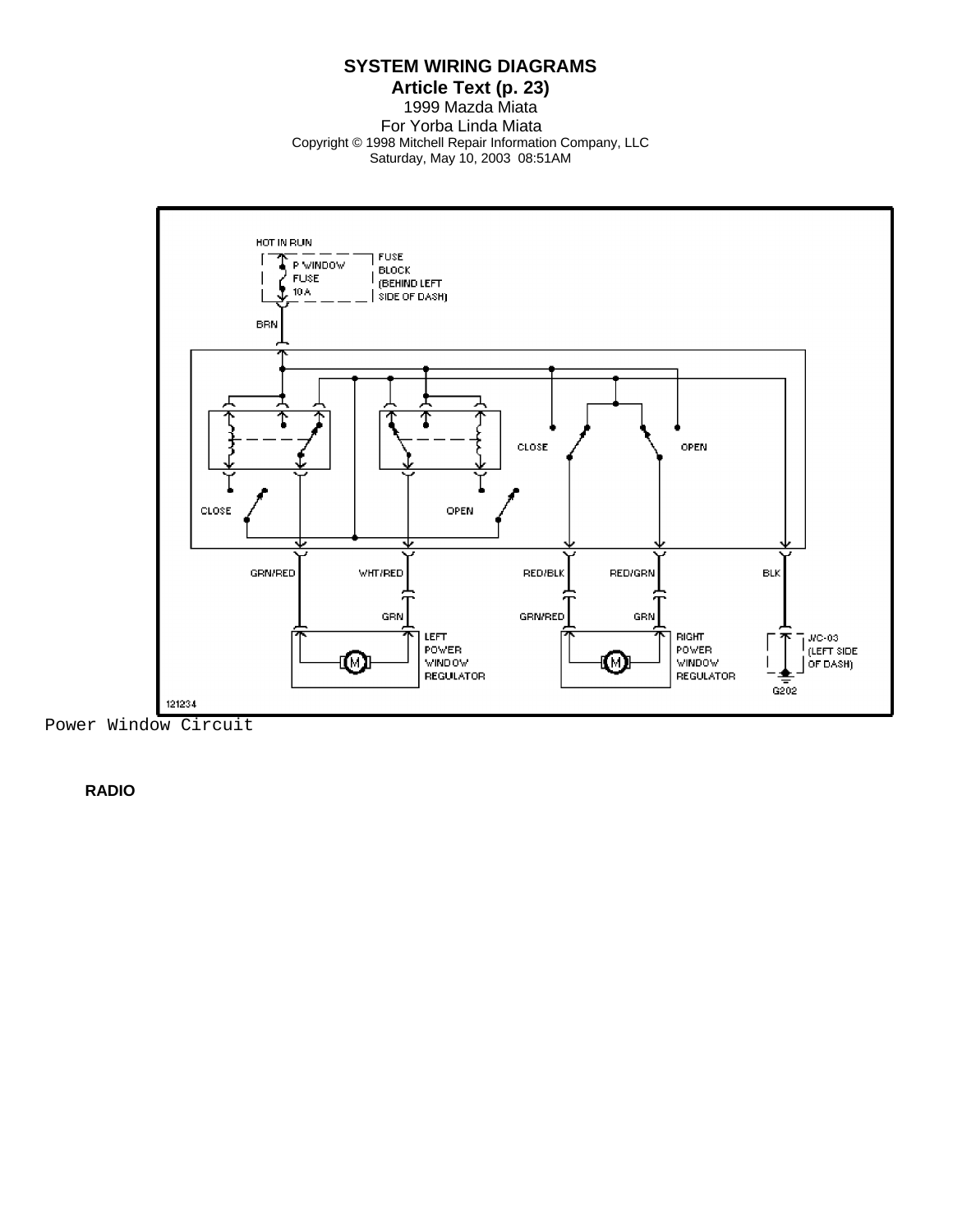**Article Text (p. 23)** 1999 Mazda Miata For Yorba Linda Miata Copyright © 1998 Mitchell Repair Information Company, LLC Saturday, May 10, 2003 08:51AM



 **RADIO**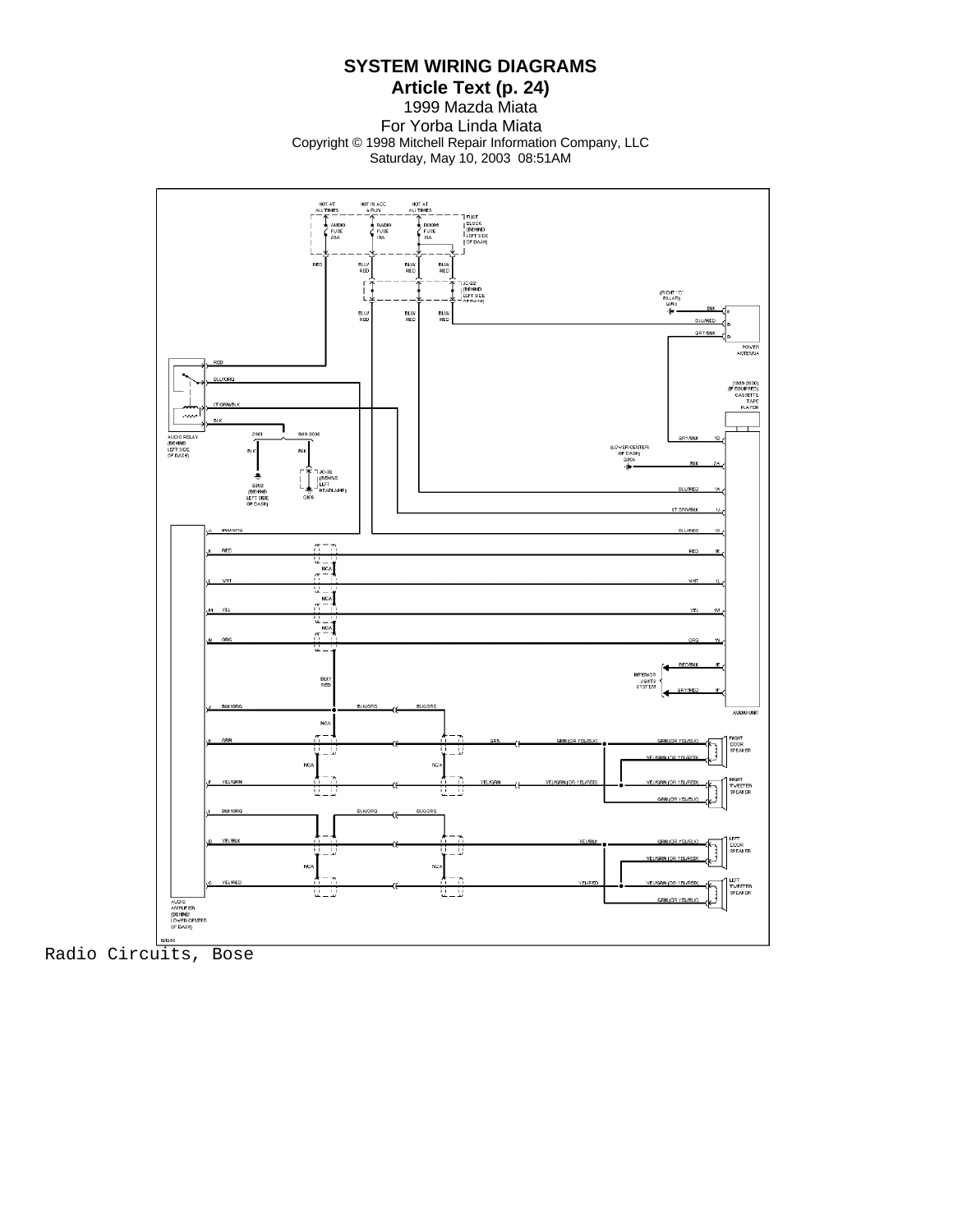**Article Text (p. 24)** 1999 Mazda Miata

For Yorba Linda Miata Copyright © 1998 Mitchell Repair Information Company, LLC Saturday, May 10, 2003 08:51AM



Radio Circuits, Bose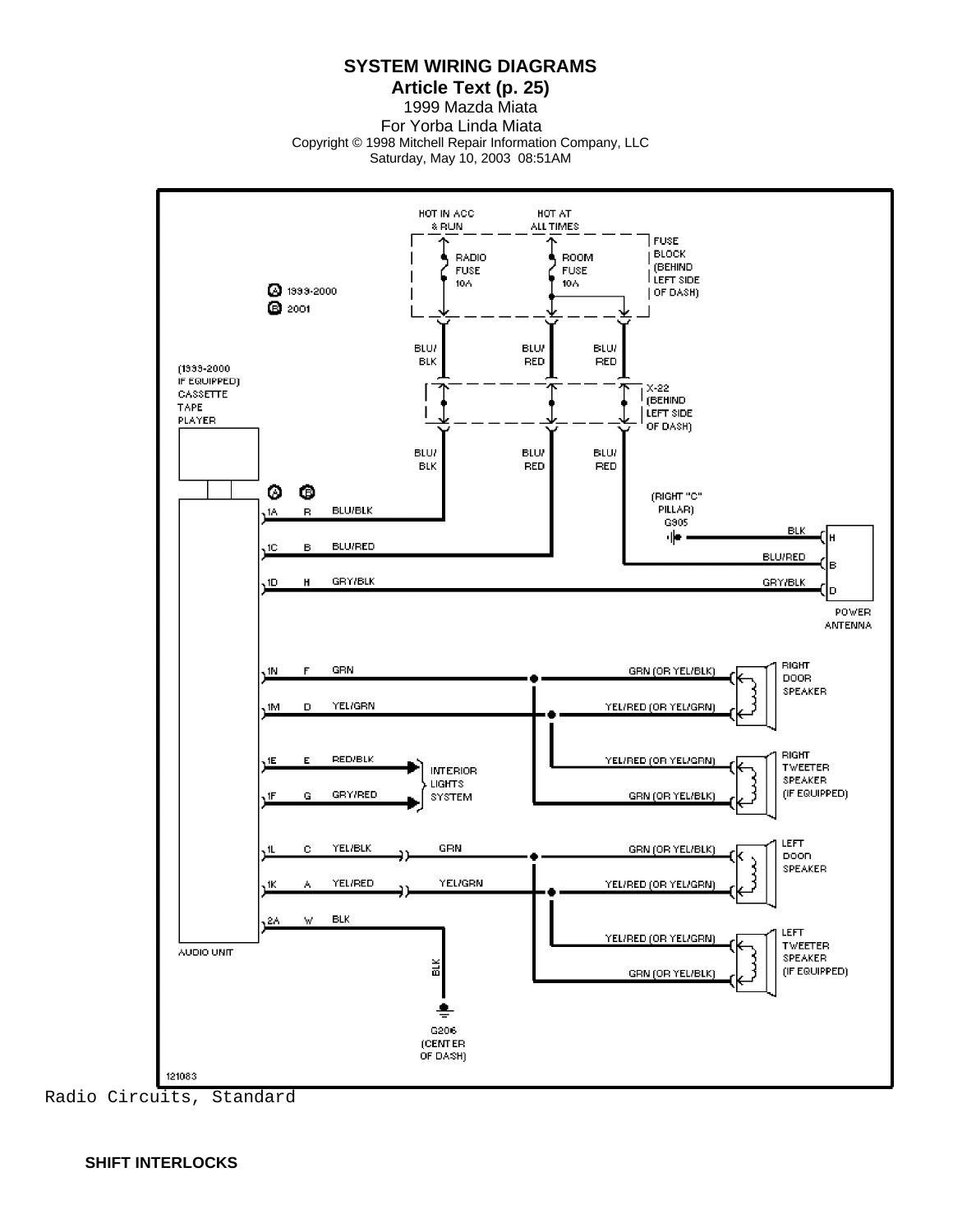**Article Text (p. 25)**

1999 Mazda Miata For Yorba Linda Miata Copyright © 1998 Mitchell Repair Information Company, LLC Saturday, May 10, 2003 08:51AM

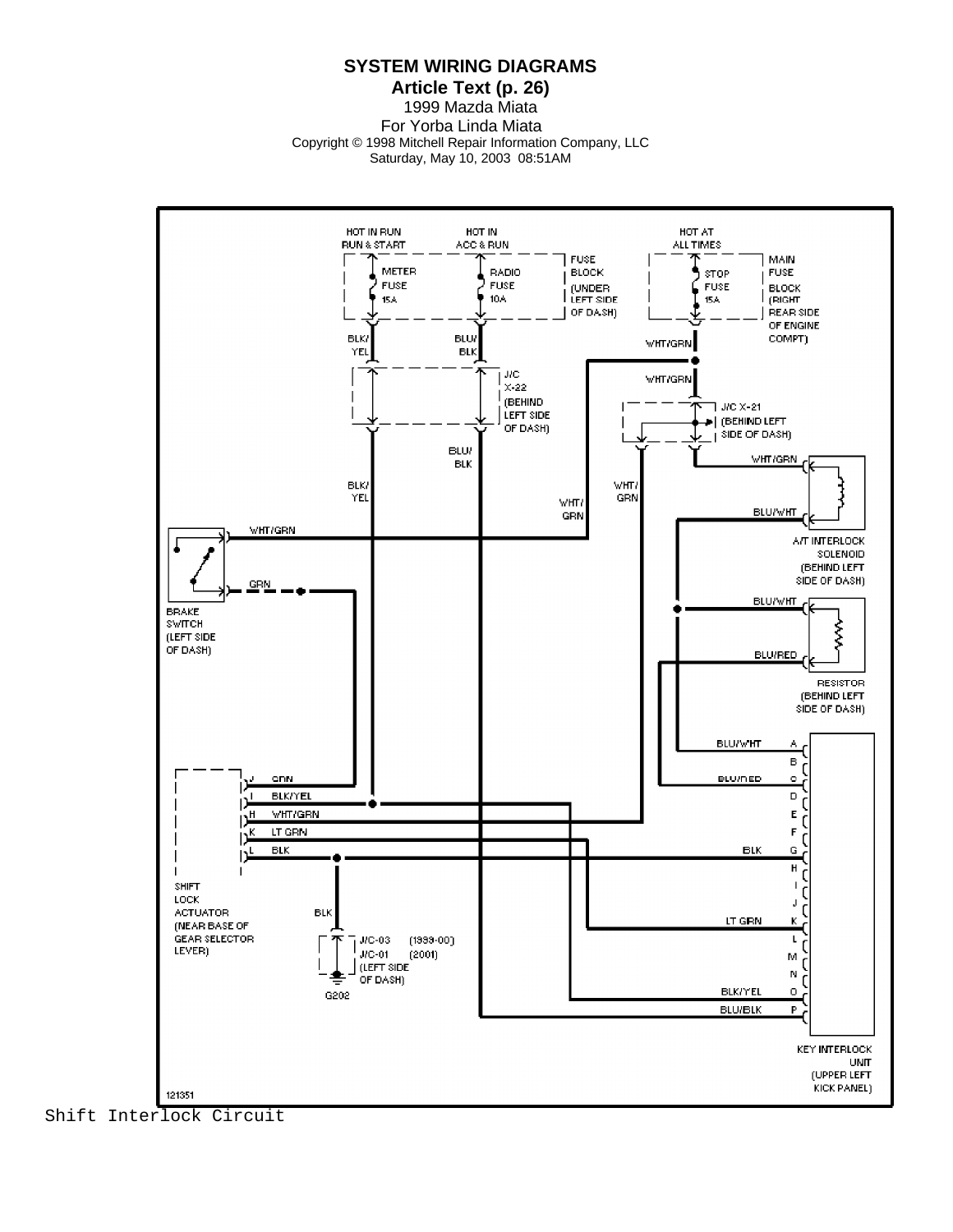**Article Text (p. 26)** 1999 Mazda Miata For Yorba Linda Miata

Copyright © 1998 Mitchell Repair Information Company, LLC

Saturday, May 10, 2003 08:51AM



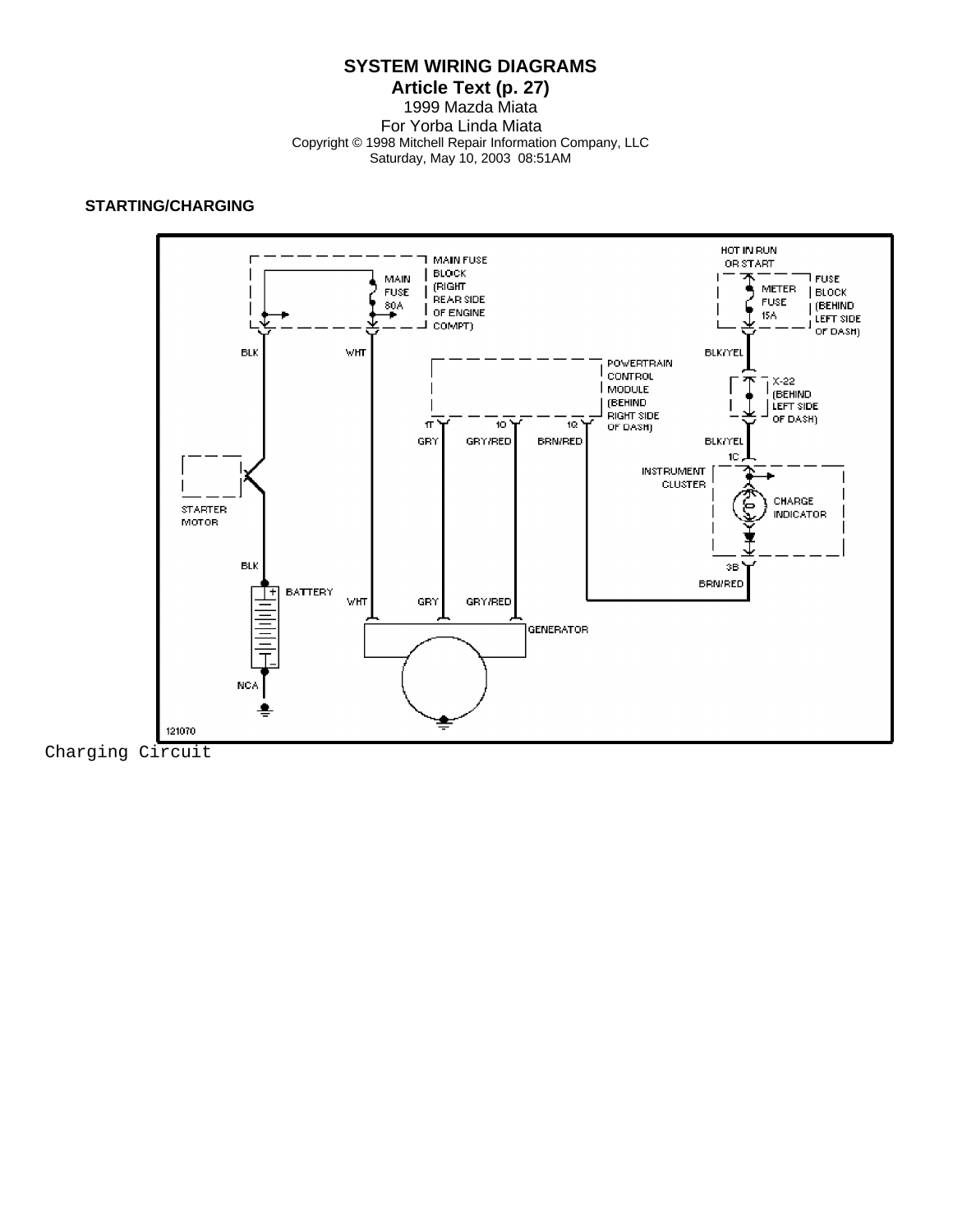#### **Article Text (p. 27)** 1999 Mazda Miata For Yorba Linda Miata Copyright © 1998 Mitchell Repair Information Company, LLC Saturday, May 10, 2003 08:51AM

## **STARTING/CHARGING**



Charging Circuit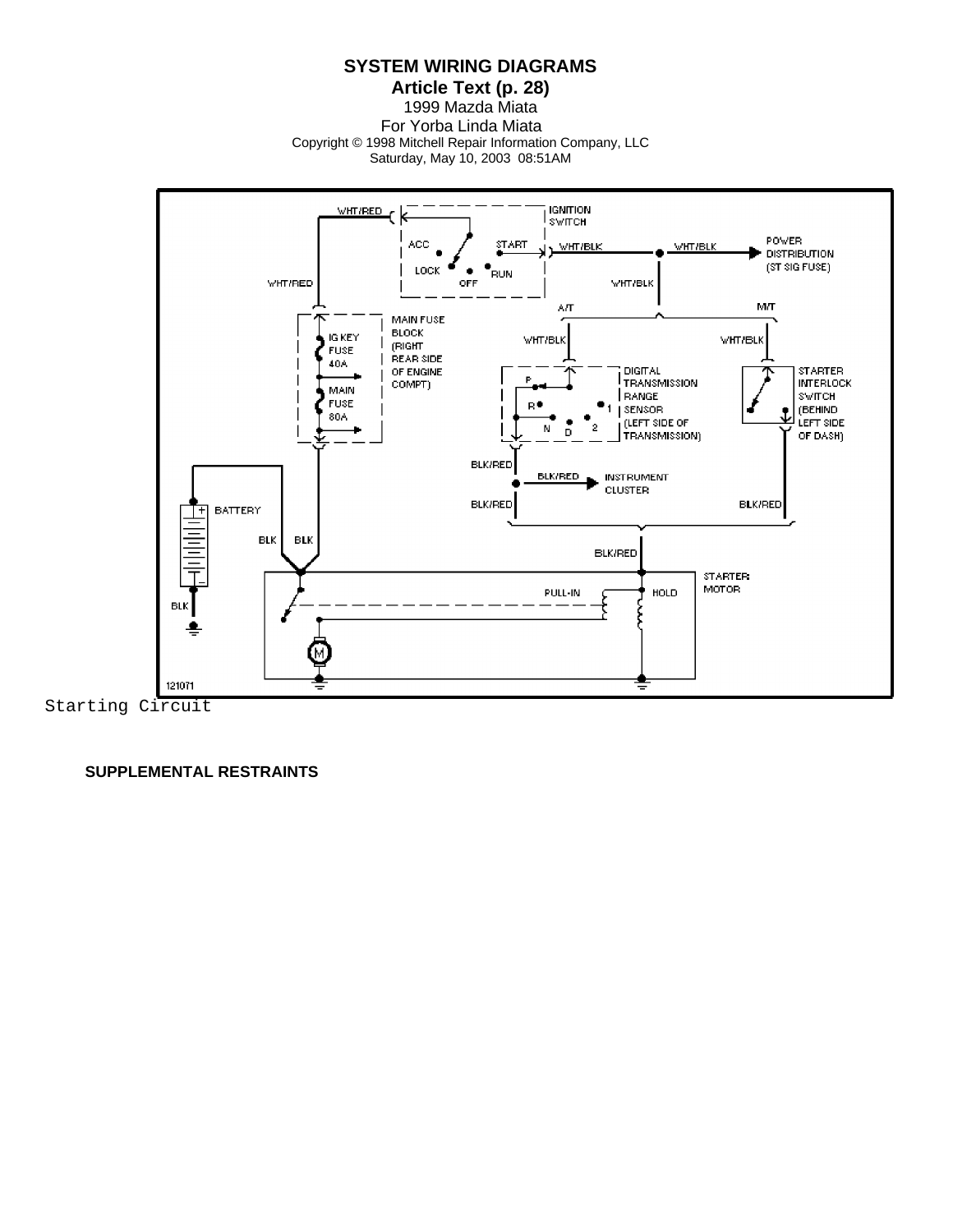**Article Text (p. 28)**

1999 Mazda Miata For Yorba Linda Miata Copyright © 1998 Mitchell Repair Information Company, LLC

Saturday, May 10, 2003 08:51AM



Starting Circuit

 **SUPPLEMENTAL RESTRAINTS**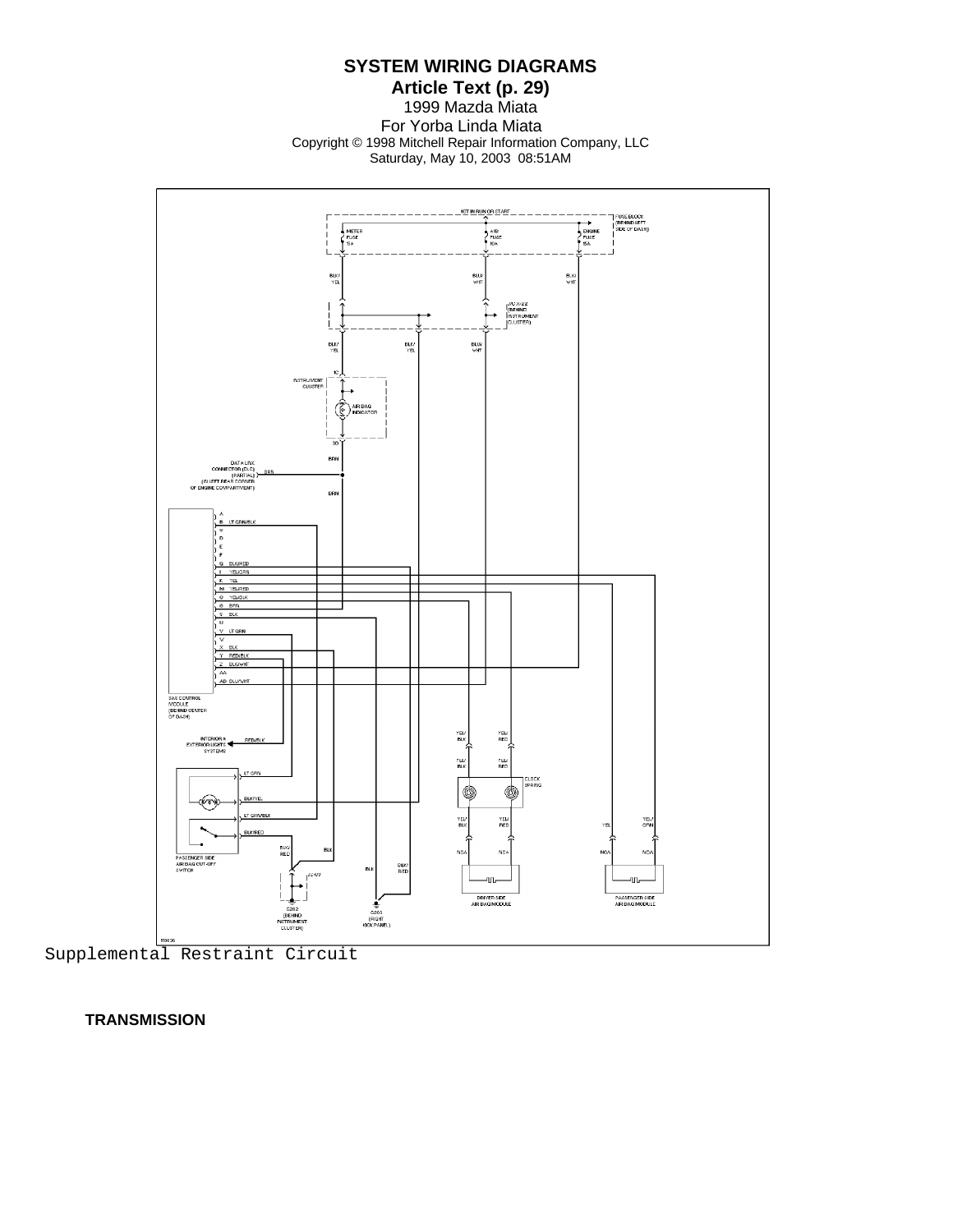**Article Text (p. 29)** 1999 Mazda Miata For Yorba Linda Miata Copyright © 1998 Mitchell Repair Information Company, LLC Saturday, May 10, 2003 08:51AM



Supplemental Restraint Circuit

 **TRANSMISSION**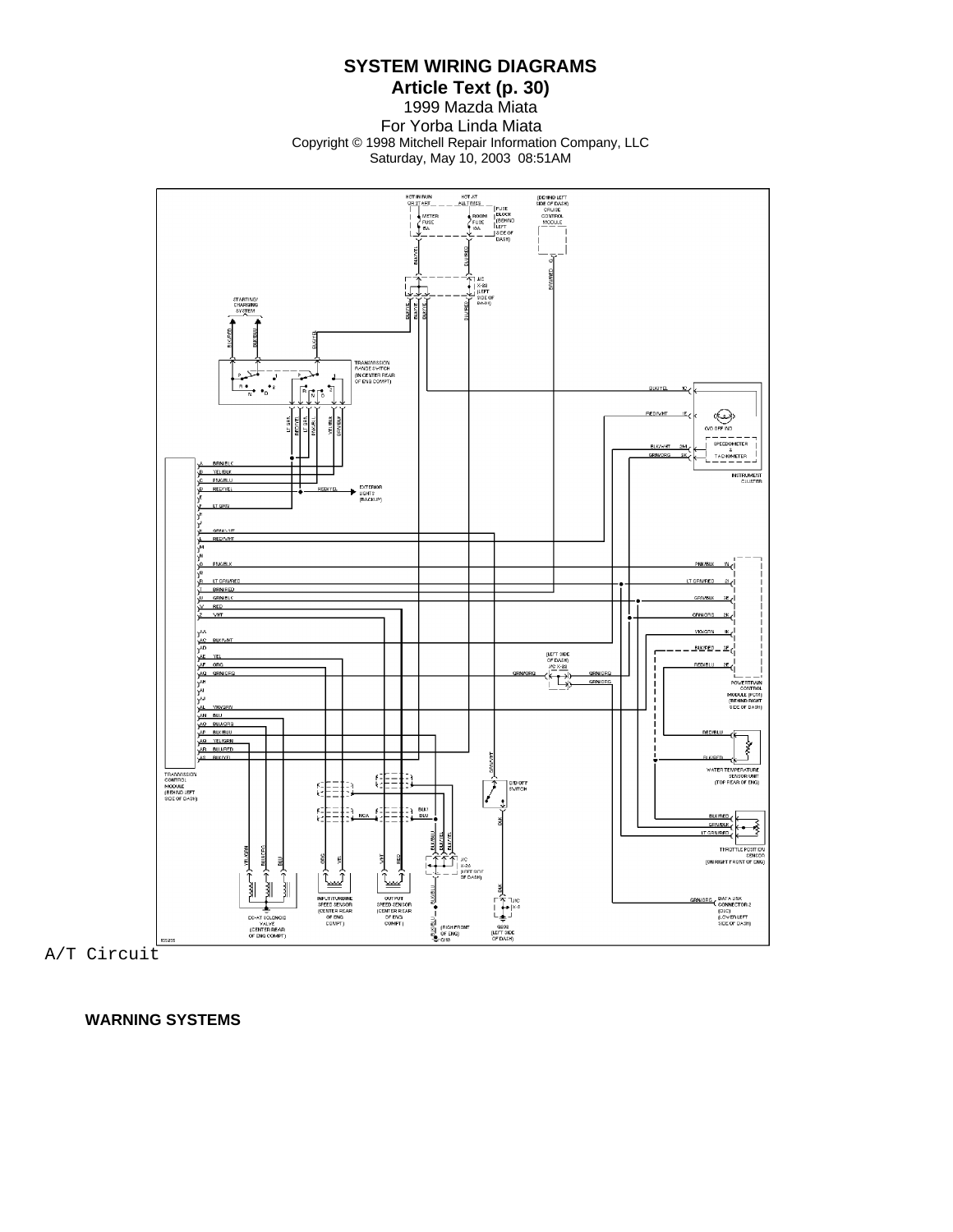**Article Text (p. 30)** 1999 Mazda Miata For Yorba Linda Miata Copyright © 1998 Mitchell Repair Information Company, LLC Saturday, May 10, 2003 08:51AM



A/T Circuit

 **WARNING SYSTEMS**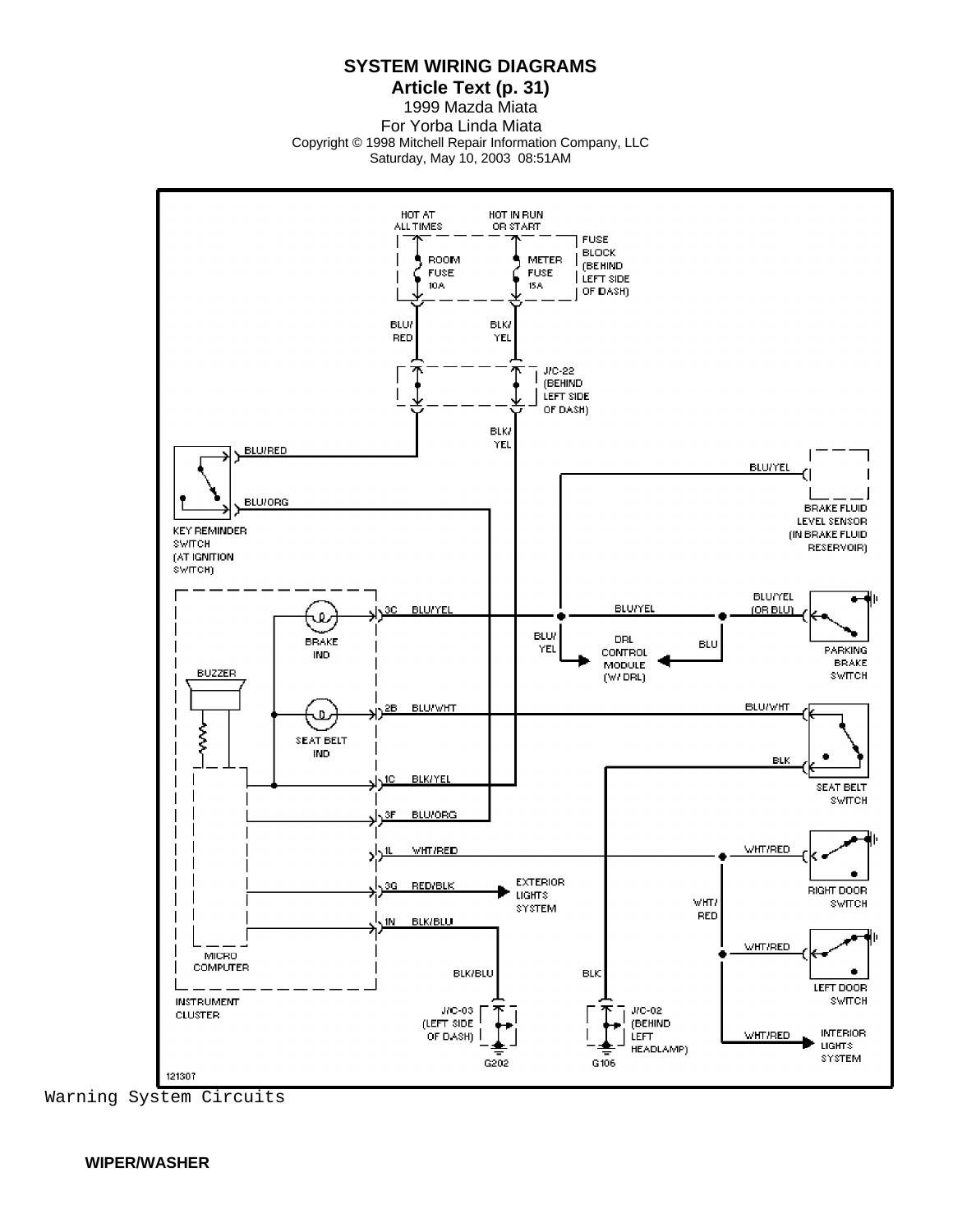**Article Text (p. 31)**

1999 Mazda Miata For Yorba Linda Miata Copyright © 1998 Mitchell Repair Information Company, LLC Saturday, May 10, 2003 08:51AM



Warning System Circuits